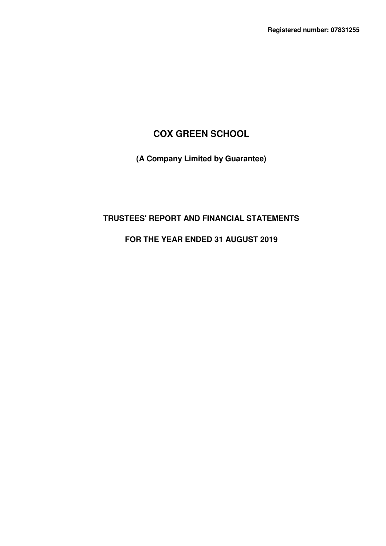# **COX GREEN SCHOOL**

**(A Company Limited by Guarantee)** 

# **TRUSTEES' REPORT AND FINANCIAL STATEMENTS**

# **FOR THE YEAR ENDED 31 AUGUST 2019**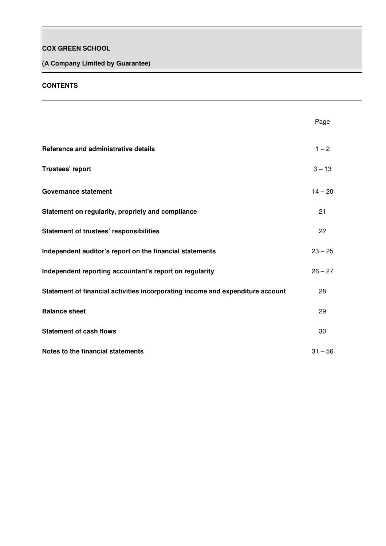# **COX GREEN SCHOOL**

# **(A Company Limited by Guarantee)**

## **CONTENTS**

|                                                                                | Page      |
|--------------------------------------------------------------------------------|-----------|
| Reference and administrative details                                           | $1 - 2$   |
| <b>Trustees' report</b>                                                        | $3 - 13$  |
| <b>Governance statement</b>                                                    | $14 - 20$ |
| Statement on regularity, propriety and compliance                              | 21        |
| <b>Statement of trustees' responsibilities</b>                                 | 22        |
| Independent auditor's report on the financial statements                       | $23 - 25$ |
| Independent reporting accountant's report on regularity                        | $26 - 27$ |
| Statement of financial activities incorporating income and expenditure account | 28        |
| <b>Balance sheet</b>                                                           | 29        |
| <b>Statement of cash flows</b>                                                 | 30        |
| Notes to the financial statements                                              | $31 - 56$ |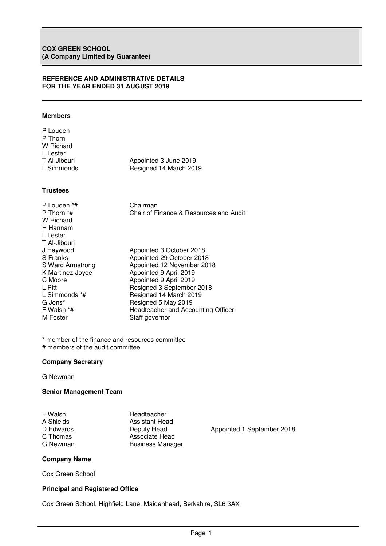### **REFERENCE AND ADMINISTRATIVE DETAILS FOR THE YEAR ENDED 31 AUGUST 2019**

## **Members**

| P Louden     |                        |
|--------------|------------------------|
| P Thorn      |                        |
| W Richard    |                        |
| L Lester     |                        |
| T Al-Jibouri | Appointed 3 June 2019  |
| L Simmonds   | Resigned 14 March 2019 |
|              |                        |

## **Trustees**

| P Louden *#<br>P Thorn *#<br>W Richard<br>H Hannam<br>L Lester<br>T Al-Jibouri | Chairman<br>Chair of Finance & Resources and Audit |
|--------------------------------------------------------------------------------|----------------------------------------------------|
| J Haywood                                                                      | Appointed 3 October 2018                           |
| S Franks                                                                       | Appointed 29 October 2018                          |
| S Ward Armstrong                                                               | Appointed 12 November 2018                         |
| K Martinez-Joyce                                                               | Appointed 9 April 2019                             |
| C Moore                                                                        | Appointed 9 April 2019                             |
| L Pitt                                                                         | Resigned 3 September 2018                          |
| L Simmonds *#                                                                  | Resigned 14 March 2019                             |
| G Jons*                                                                        | Resigned 5 May 2019                                |
| F Walsh *#                                                                     | Headteacher and Accounting Officer                 |
| M Foster                                                                       | Staff governor                                     |

\* member of the finance and resources committee # members of the audit committee

## **Company Secretary**

G Newman

## **Senior Management Team**

| F Walsh   | Headteacher             |
|-----------|-------------------------|
| A Shields | <b>Assistant Head</b>   |
| D Edwards | Deputy Head             |
| C Thomas  | Associate Head          |
| G Newman  | <b>Business Manager</b> |
|           |                         |

Appointed 1 September 2018<br>ad

## **Company Name**

Cox Green School

## **Principal and Registered Office**

Cox Green School, Highfield Lane, Maidenhead, Berkshire, SL6 3AX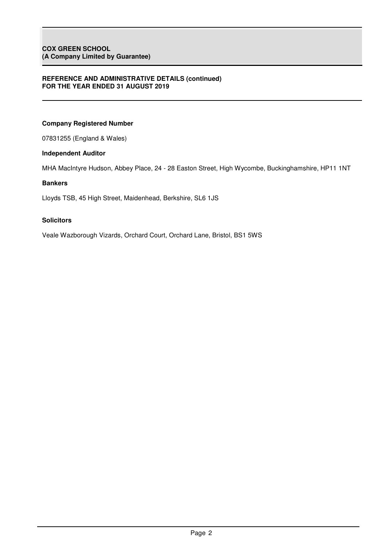## **REFERENCE AND ADMINISTRATIVE DETAILS (continued) FOR THE YEAR ENDED 31 AUGUST 2019**

## **Company Registered Number**

07831255 (England & Wales)

## **Independent Auditor**

MHA MacIntyre Hudson, Abbey Place, 24 - 28 Easton Street, High Wycombe, Buckinghamshire, HP11 1NT

## **Bankers**

Lloyds TSB, 45 High Street, Maidenhead, Berkshire, SL6 1JS

## **Solicitors**

Veale Wazborough Vizards, Orchard Court, Orchard Lane, Bristol, BS1 5WS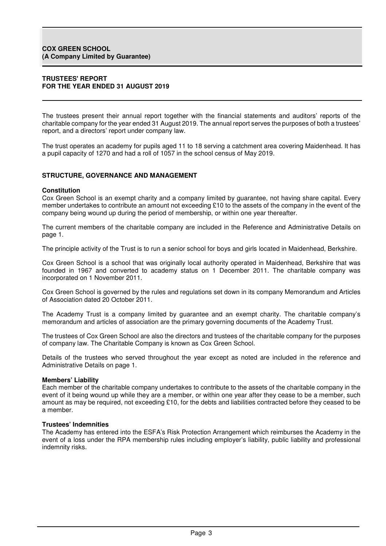## **TRUSTEES' REPORT FOR THE YEAR ENDED 31 AUGUST 2019**

The trustees present their annual report together with the financial statements and auditors' reports of the charitable company for the year ended 31 August 2019. The annual report serves the purposes of both a trustees' report, and a directors' report under company law.

The trust operates an academy for pupils aged 11 to 18 serving a catchment area covering Maidenhead. It has a pupil capacity of 1270 and had a roll of 1057 in the school census of May 2019.

## **STRUCTURE, GOVERNANCE AND MANAGEMENT**

#### **Constitution**

Cox Green School is an exempt charity and a company limited by guarantee, not having share capital. Every member undertakes to contribute an amount not exceeding £10 to the assets of the company in the event of the company being wound up during the period of membership, or within one year thereafter.

The current members of the charitable company are included in the Reference and Administrative Details on page 1.

The principle activity of the Trust is to run a senior school for boys and girls located in Maidenhead, Berkshire.

Cox Green School is a school that was originally local authority operated in Maidenhead, Berkshire that was founded in 1967 and converted to academy status on 1 December 2011. The charitable company was incorporated on 1 November 2011.

Cox Green School is governed by the rules and regulations set down in its company Memorandum and Articles of Association dated 20 October 2011.

The Academy Trust is a company limited by guarantee and an exempt charity. The charitable company's memorandum and articles of association are the primary governing documents of the Academy Trust.

The trustees of Cox Green School are also the directors and trustees of the charitable company for the purposes of company law. The Charitable Company is known as Cox Green School.

Details of the trustees who served throughout the year except as noted are included in the reference and Administrative Details on page 1.

## **Members' Liability**

Each member of the charitable company undertakes to contribute to the assets of the charitable company in the event of it being wound up while they are a member, or within one year after they cease to be a member, such amount as may be required, not exceeding £10, for the debts and liabilities contracted before they ceased to be a member.

#### **Trustees' Indemnities**

The Academy has entered into the ESFA's Risk Protection Arrangement which reimburses the Academy in the event of a loss under the RPA membership rules including employer's liability, public liability and professional indemnity risks.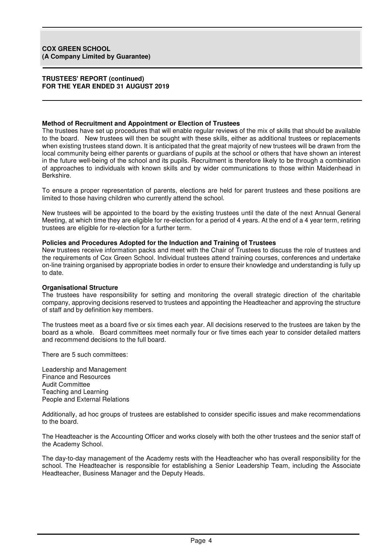#### **Method of Recruitment and Appointment or Election of Trustees**

The trustees have set up procedures that will enable regular reviews of the mix of skills that should be available to the board. New trustees will then be sought with these skills, either as additional trustees or replacements when existing trustees stand down. It is anticipated that the great majority of new trustees will be drawn from the local community being either parents or guardians of pupils at the school or others that have shown an interest in the future well-being of the school and its pupils. Recruitment is therefore likely to be through a combination of approaches to individuals with known skills and by wider communications to those within Maidenhead in Berkshire.

To ensure a proper representation of parents, elections are held for parent trustees and these positions are limited to those having children who currently attend the school.

New trustees will be appointed to the board by the existing trustees until the date of the next Annual General Meeting, at which time they are eligible for re-election for a period of 4 years. At the end of a 4 year term, retiring trustees are eligible for re-election for a further term.

#### **Policies and Procedures Adopted for the Induction and Training of Trustees**

New trustees receive information packs and meet with the Chair of Trustees to discuss the role of trustees and the requirements of Cox Green School. Individual trustees attend training courses, conferences and undertake on-line training organised by appropriate bodies in order to ensure their knowledge and understanding is fully up to date.

#### **Organisational Structure**

The trustees have responsibility for setting and monitoring the overall strategic direction of the charitable company, approving decisions reserved to trustees and appointing the Headteacher and approving the structure of staff and by definition key members.

The trustees meet as a board five or six times each year. All decisions reserved to the trustees are taken by the board as a whole. Board committees meet normally four or five times each year to consider detailed matters and recommend decisions to the full board.

There are 5 such committees:

Leadership and Management Finance and Resources Audit Committee Teaching and Learning People and External Relations

Additionally, ad hoc groups of trustees are established to consider specific issues and make recommendations to the board.

The Headteacher is the Accounting Officer and works closely with both the other trustees and the senior staff of the Academy School.

The day-to-day management of the Academy rests with the Headteacher who has overall responsibility for the school. The Headteacher is responsible for establishing a Senior Leadership Team, including the Associate Headteacher, Business Manager and the Deputy Heads.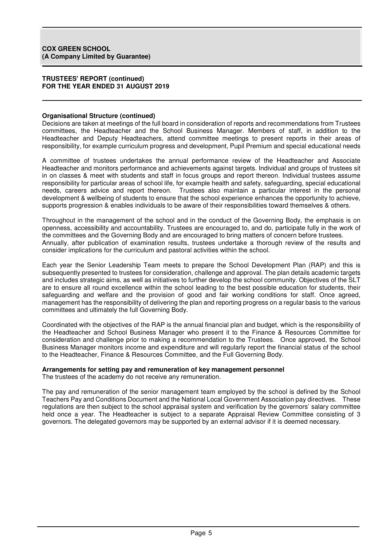## **Organisational Structure (continued)**

Decisions are taken at meetings of the full board in consideration of reports and recommendations from Trustees committees, the Headteacher and the School Business Manager. Members of staff, in addition to the Headteacher and Deputy Headteachers, attend committee meetings to present reports in their areas of responsibility, for example curriculum progress and development, Pupil Premium and special educational needs

A committee of trustees undertakes the annual performance review of the Headteacher and Associate Headteacher and monitors performance and achievements against targets. Individual and groups of trustees sit in on classes & meet with students and staff in focus groups and report thereon. Individual trustees assume responsibility for particular areas of school life, for example health and safety, safeguarding, special educational needs, careers advice and report thereon. Trustees also maintain a particular interest in the personal development & wellbeing of students to ensure that the school experience enhances the opportunity to achieve, supports progression & enables individuals to be aware of their responsibilities toward themselves & others.

Throughout in the management of the school and in the conduct of the Governing Body, the emphasis is on openness, accessibility and accountability. Trustees are encouraged to, and do, participate fully in the work of the committees and the Governing Body and are encouraged to bring matters of concern before trustees. Annually, after publication of examination results, trustees undertake a thorough review of the results and consider implications for the curriculum and pastoral activities within the school.

Each year the Senior Leadership Team meets to prepare the School Development Plan (RAP) and this is subsequently presented to trustees for consideration, challenge and approval. The plan details academic targets and includes strategic aims, as well as initiatives to further develop the school community. Objectives of the SLT are to ensure all round excellence within the school leading to the best possible education for students, their safeguarding and welfare and the provision of good and fair working conditions for staff. Once agreed, management has the responsibility of delivering the plan and reporting progress on a regular basis to the various committees and ultimately the full Governing Body.

Coordinated with the objectives of the RAP is the annual financial plan and budget, which is the responsibility of the Headteacher and School Business Manager who present it to the Finance & Resources Committee for consideration and challenge prior to making a recommendation to the Trustees. Once approved, the School Business Manager monitors income and expenditure and will regularly report the financial status of the school to the Headteacher, Finance & Resources Committee, and the Full Governing Body.

## **Arrangements for setting pay and remuneration of key management personnel**

The trustees of the academy do not receive any remuneration.

The pay and remuneration of the senior management team employed by the school is defined by the School Teachers Pay and Conditions Document and the National Local Government Association pay directives. These regulations are then subject to the school appraisal system and verification by the governors' salary committee held once a year. The Headteacher is subject to a separate Appraisal Review Committee consisting of 3 governors. The delegated governors may be supported by an external advisor if it is deemed necessary.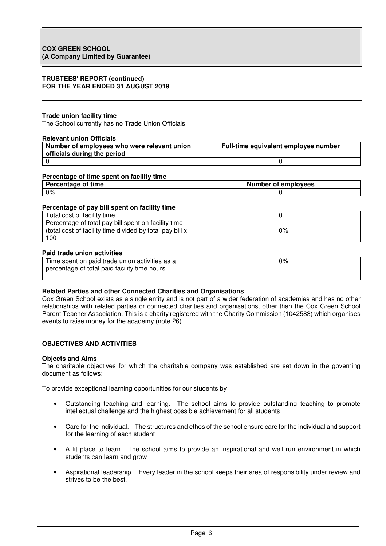### **Trade union facility time**

The School currently has no Trade Union Officials.

#### **Relevant union Officials**

| Number of employees who were relevant union<br>officials during the period | Full-time equivalent employee number |
|----------------------------------------------------------------------------|--------------------------------------|
|                                                                            |                                      |

#### **Percentage of time spent on facility time**

| time<br><b>Percentage</b><br>ΟŤ | Number of employees |  |
|---------------------------------|---------------------|--|
| 0%                              |                     |  |

#### **Percentage of pay bill spent on facility time**

| Total cost of facility time                                                                                             |    |
|-------------------------------------------------------------------------------------------------------------------------|----|
| Percentage of total pay bill spent on facility time<br>(total cost of facility time divided by total pay bill x)<br>100 | 0% |

#### **Paid trade union activities**

| Time spent on paid trade union activities as a<br>percentage of total paid facility time hours | 0% |
|------------------------------------------------------------------------------------------------|----|
|                                                                                                |    |

#### **Related Parties and other Connected Charities and Organisations**

Cox Green School exists as a single entity and is not part of a wider federation of academies and has no other relationships with related parties or connected charities and organisations, other than the Cox Green School Parent Teacher Association. This is a charity registered with the Charity Commission (1042583) which organises events to raise money for the academy (note 26).

#### **OBJECTIVES AND ACTIVITIES**

#### **Objects and Aims**

The charitable objectives for which the charitable company was established are set down in the governing document as follows:

To provide exceptional learning opportunities for our students by

- Outstanding teaching and learning. The school aims to provide outstanding teaching to promote intellectual challenge and the highest possible achievement for all students
- Care for the individual. The structures and ethos of the school ensure care for the individual and support for the learning of each student
- A fit place to learn. The school aims to provide an inspirational and well run environment in which students can learn and grow
- Aspirational leadership. Every leader in the school keeps their area of responsibility under review and strives to be the best.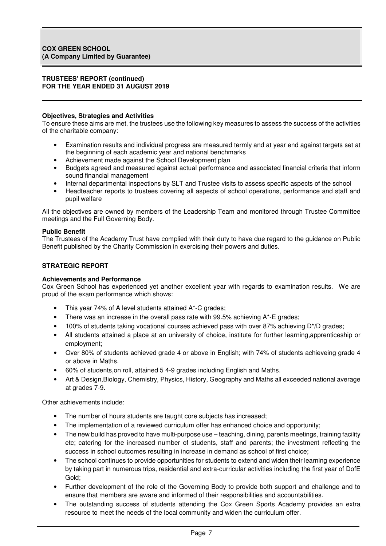## **Objectives, Strategies and Activities**

To ensure these aims are met, the trustees use the following key measures to assess the success of the activities of the charitable company:

- Examination results and individual progress are measured termly and at year end against targets set at the beginning of each academic year and national benchmarks
- Achievement made against the School Development plan
- Budgets agreed and measured against actual performance and associated financial criteria that inform sound financial management
- Internal departmental inspections by SLT and Trustee visits to assess specific aspects of the school
- Headteacher reports to trustees covering all aspects of school operations, performance and staff and pupil welfare

All the objectives are owned by members of the Leadership Team and monitored through Trustee Committee meetings and the Full Governing Body.

## **Public Benefit**

The Trustees of the Academy Trust have complied with their duty to have due regard to the guidance on Public Benefit published by the Charity Commission in exercising their powers and duties.

## **STRATEGIC REPORT**

## **Achievements and Performance**

Cox Green School has experienced yet another excellent year with regards to examination results. We are proud of the exam performance which shows:

- This year 74% of A level students attained A\*-C grades;
- There was an increase in the overall pass rate with 99.5% achieving  $A^*$ -E grades;
- 100% of students taking vocational courses achieved pass with over 87% achieving D\*/D grades;
- All students attained a place at an university of choice, institute for further learning,apprenticeship or employment;
- Over 80% of students achieved grade 4 or above in English; with 74% of students achieveing grade 4 or above in Maths.
- 60% of students,on roll, attained 5 4-9 grades including English and Maths.
- Art & Design,Biology, Chemistry, Physics, History, Geography and Maths all exceeded national average at grades 7-9.

Other achievements include:

- The number of hours students are taught core subjects has increased;
- The implementation of a reviewed curriculum offer has enhanced choice and opportunity;
- The new build has proved to have multi-purpose use teaching, dining, parents meetings, training facility etc; catering for the increased number of students, staff and parents; the investment reflecting the success in school outcomes resulting in increase in demand as school of first choice;
- The school continues to provide opportunities for students to extend and widen their learning experience by taking part in numerous trips, residential and extra-curricular activities including the first year of DofE Gold;
- Further development of the role of the Governing Body to provide both support and challenge and to ensure that members are aware and informed of their responsibilities and accountabilities.
- The outstanding success of students attending the Cox Green Sports Academy provides an extra resource to meet the needs of the local community and widen the curriculum offer.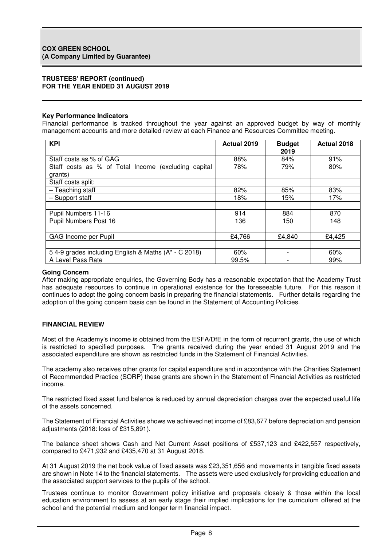## **Key Performance Indicators**

Financial performance is tracked throughout the year against an approved budget by way of monthly management accounts and more detailed review at each Finance and Resources Committee meeting.

| <b>KPI</b>                                          | <b>Actual 2019</b> | <b>Budget</b><br>2019    | Actual 2018 |
|-----------------------------------------------------|--------------------|--------------------------|-------------|
| Staff costs as % of GAG                             | 88%                | 84%                      | 91%         |
| Staff costs as % of Total Income (excluding capital | 78%                | 79%                      | 80%         |
| grants)                                             |                    |                          |             |
| Staff costs split:                                  |                    |                          |             |
| - Teaching staff                                    | 82%                | 85%                      | 83%         |
| - Support staff                                     | 18%                | 15%                      | 17%         |
|                                                     |                    |                          |             |
| Pupil Numbers 11-16                                 | 914                | 884                      | 870         |
| Pupil Numbers Post 16                               | 136                | 150                      | 148         |
|                                                     |                    |                          |             |
| GAG Income per Pupil                                | £4,766             | £4,840                   | £4,425      |
|                                                     |                    |                          |             |
| 54-9 grades including English & Maths (A* - C 2018) | 60%                | $\overline{\phantom{0}}$ | 60%         |
| A Level Pass Rate                                   | 99.5%              |                          | 99%         |

#### **Going Concern**

After making appropriate enquiries, the Governing Body has a reasonable expectation that the Academy Trust has adequate resources to continue in operational existence for the foreseeable future. For this reason it continues to adopt the going concern basis in preparing the financial statements. Further details regarding the adoption of the going concern basis can be found in the Statement of Accounting Policies.

## **FINANCIAL REVIEW**

Most of the Academy's income is obtained from the ESFA/DfE in the form of recurrent grants, the use of which is restricted to specified purposes. The grants received during the year ended 31 August 2019 and the associated expenditure are shown as restricted funds in the Statement of Financial Activities.

The academy also receives other grants for capital expenditure and in accordance with the Charities Statement of Recommended Practice (SORP) these grants are shown in the Statement of Financial Activities as restricted income.

The restricted fixed asset fund balance is reduced by annual depreciation charges over the expected useful life of the assets concerned.

The Statement of Financial Activities shows we achieved net income of £83,677 before depreciation and pension adjustments (2018: loss of £315,891).

The balance sheet shows Cash and Net Current Asset positions of £537,123 and £422,557 respectively, compared to £471,932 and £435,470 at 31 August 2018.

At 31 August 2019 the net book value of fixed assets was £23,351,656 and movements in tangible fixed assets are shown in Note 14 to the financial statements. The assets were used exclusively for providing education and the associated support services to the pupils of the school.

Trustees continue to monitor Government policy initiative and proposals closely & those within the local education environment to assess at an early stage their implied implications for the curriculum offered at the school and the potential medium and longer term financial impact.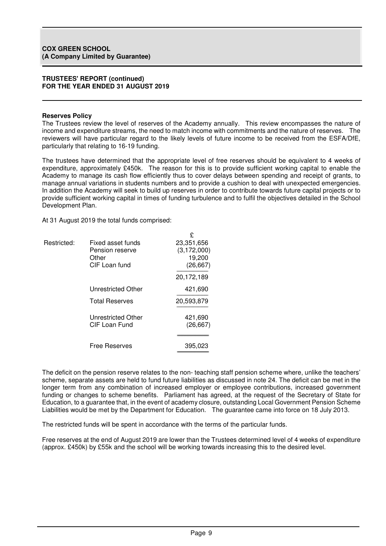#### **Reserves Policy**

The Trustees review the level of reserves of the Academy annually. This review encompasses the nature of income and expenditure streams, the need to match income with commitments and the nature of reserves. The reviewers will have particular regard to the likely levels of future income to be received from the ESFA/DfE, particularly that relating to 16-19 funding.

The trustees have determined that the appropriate level of free reserves should be equivalent to 4 weeks of expenditure, approximately £450k. The reason for this is to provide sufficient working capital to enable the Academy to manage its cash flow efficiently thus to cover delays between spending and receipt of grants, to manage annual variations in students numbers and to provide a cushion to deal with unexpected emergencies. In addition the Academy will seek to build up reserves in order to contribute towards future capital projects or to provide sufficient working capital in times of funding turbulence and to fulfil the objectives detailed in the School Development Plan.

 $\mathbf{C}$ 

At 31 August 2019 the total funds comprised:

| Restricted: | Fixed asset funds<br>Pension reserve<br>Other<br>CIF Loan fund | 23,351,656<br>(3, 172, 000)<br>19,200<br>(26, 667) |
|-------------|----------------------------------------------------------------|----------------------------------------------------|
|             |                                                                | 20,172,189                                         |
|             | <b>Unrestricted Other</b>                                      | 421,690                                            |
|             | <b>Total Reserves</b>                                          | 20,593,879                                         |
|             | <b>Unrestricted Other</b><br>CIF Loan Fund                     | 421,690<br>(26, 667)                               |
|             | <b>Free Reserves</b>                                           | 395,023                                            |

The deficit on the pension reserve relates to the non- teaching staff pension scheme where, unlike the teachers' scheme, separate assets are held to fund future liabilities as discussed in note 24. The deficit can be met in the longer term from any combination of increased employer or employee contributions, increased government funding or changes to scheme benefits. Parliament has agreed, at the request of the Secretary of State for Education, to a guarantee that, in the event of academy closure, outstanding Local Government Pension Scheme Liabilities would be met by the Department for Education. The guarantee came into force on 18 July 2013.

The restricted funds will be spent in accordance with the terms of the particular funds.

Free reserves at the end of August 2019 are lower than the Trustees determined level of 4 weeks of expenditure (approx. £450k) by £55k and the school will be working towards increasing this to the desired level.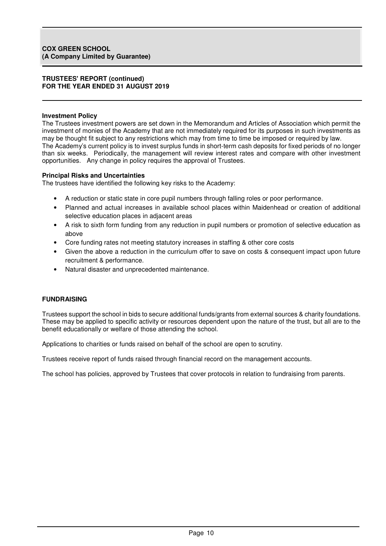## **Investment Policy**

The Trustees investment powers are set down in the Memorandum and Articles of Association which permit the investment of monies of the Academy that are not immediately required for its purposes in such investments as may be thought fit subject to any restrictions which may from time to time be imposed or required by law. The Academy's current policy is to invest surplus funds in short-term cash deposits for fixed periods of no longer than six weeks. Periodically, the management will review interest rates and compare with other investment opportunities. Any change in policy requires the approval of Trustees.

#### **Principal Risks and Uncertainties**

The trustees have identified the following key risks to the Academy:

- A reduction or static state in core pupil numbers through falling roles or poor performance.
- Planned and actual increases in available school places within Maidenhead or creation of additional selective education places in adjacent areas
- A risk to sixth form funding from any reduction in pupil numbers or promotion of selective education as above
- Core funding rates not meeting statutory increases in staffing & other core costs
- Given the above a reduction in the curriculum offer to save on costs & consequent impact upon future recruitment & performance.
- Natural disaster and unprecedented maintenance.

## **FUNDRAISING**

Trustees support the school in bids to secure additional funds/grants from external sources & charity foundations. These may be applied to specific activity or resources dependent upon the nature of the trust, but all are to the benefit educationally or welfare of those attending the school.

Applications to charities or funds raised on behalf of the school are open to scrutiny.

Trustees receive report of funds raised through financial record on the management accounts.

The school has policies, approved by Trustees that cover protocols in relation to fundraising from parents.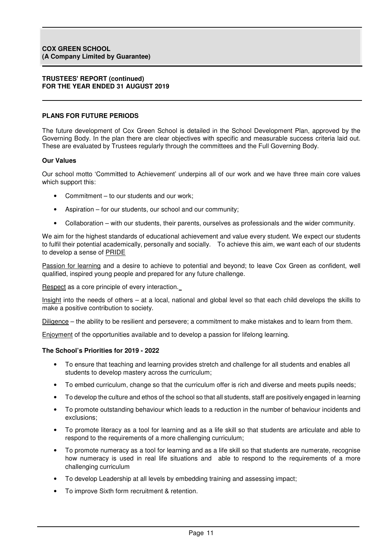## **PLANS FOR FUTURE PERIODS**

The future development of Cox Green School is detailed in the School Development Plan, approved by the Governing Body. In the plan there are clear objectives with specific and measurable success criteria laid out. These are evaluated by Trustees regularly through the committees and the Full Governing Body.

## **Our Values**

Our school motto 'Committed to Achievement' underpins all of our work and we have three main core values which support this:

- Commitment to our students and our work;
- Aspiration for our students, our school and our community;
- Collaboration with our students, their parents, ourselves as professionals and the wider community.

We aim for the highest standards of educational achievement and value every student. We expect our students to fulfil their potential academically, personally and socially. To achieve this aim, we want each of our students to develop a sense of PRIDE

Passion for learning and a desire to achieve to potential and beyond; to leave Cox Green as confident, well qualified, inspired young people and prepared for any future challenge.

Respect as a core principle of every interaction.

Insight into the needs of others – at a local, national and global level so that each child develops the skills to make a positive contribution to society.

Diligence – the ability to be resilient and persevere; a commitment to make mistakes and to learn from them.

Enjoyment of the opportunities available and to develop a passion for lifelong learning.

#### **The School's Priorities for 2019 - 2022**

- To ensure that teaching and learning provides stretch and challenge for all students and enables all students to develop mastery across the curriculum;
- To embed curriculum, change so that the curriculum offer is rich and diverse and meets pupils needs;
- To develop the culture and ethos of the school so that all students, staff are positively engaged in learning
- To promote outstanding behaviour which leads to a reduction in the number of behaviour incidents and exclusions;
- To promote literacy as a tool for learning and as a life skill so that students are articulate and able to respond to the requirements of a more challenging curriculum;
- To promote numeracy as a tool for learning and as a life skill so that students are numerate, recognise how numeracy is used in real life situations and able to respond to the requirements of a more challenging curriculum
- To develop Leadership at all levels by embedding training and assessing impact;
- To improve Sixth form recruitment & retention.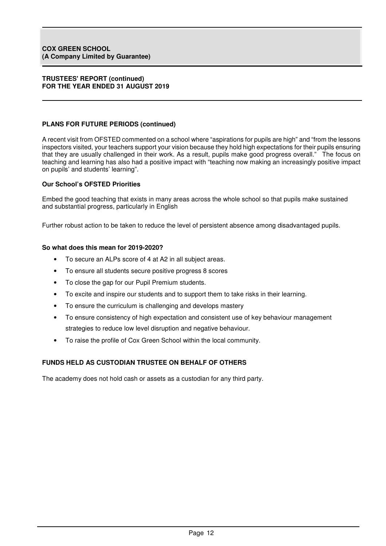## **PLANS FOR FUTURE PERIODS (continued)**

A recent visit from OFSTED commented on a school where "aspirations for pupils are high" and "from the lessons inspectors visited, your teachers support your vision because they hold high expectations for their pupils ensuring that they are usually challenged in their work. As a result, pupils make good progress overall." The focus on teaching and learning has also had a positive impact with "teaching now making an increasingly positive impact on pupils' and students' learning".

## **Our School's OFSTED Priorities**

Embed the good teaching that exists in many areas across the whole school so that pupils make sustained and substantial progress, particularly in English

Further robust action to be taken to reduce the level of persistent absence among disadvantaged pupils.

#### **So what does this mean for 2019-2020?**

- To secure an ALPs score of 4 at A2 in all subject areas.
- To ensure all students secure positive progress 8 scores
- To close the gap for our Pupil Premium students.
- To excite and inspire our students and to support them to take risks in their learning.
- To ensure the curriculum is challenging and develops mastery
- To ensure consistency of high expectation and consistent use of key behaviour management strategies to reduce low level disruption and negative behaviour.
- To raise the profile of Cox Green School within the local community.

## **FUNDS HELD AS CUSTODIAN TRUSTEE ON BEHALF OF OTHERS**

The academy does not hold cash or assets as a custodian for any third party.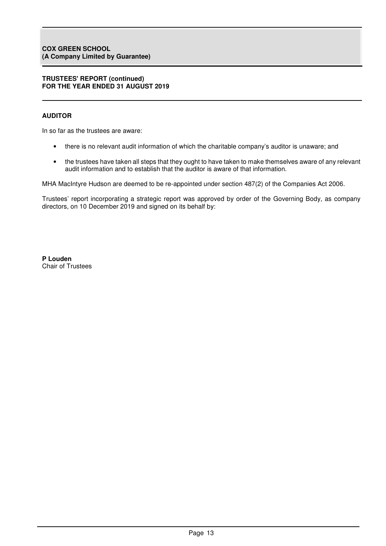## **AUDITOR**

In so far as the trustees are aware:

- there is no relevant audit information of which the charitable company's auditor is unaware; and
- the trustees have taken all steps that they ought to have taken to make themselves aware of any relevant audit information and to establish that the auditor is aware of that information.

MHA MacIntyre Hudson are deemed to be re-appointed under section 487(2) of the Companies Act 2006.

Trustees' report incorporating a strategic report was approved by order of the Governing Body, as company directors, on 10 December 2019 and signed on its behalf by:

**P Louden**  Chair of Trustees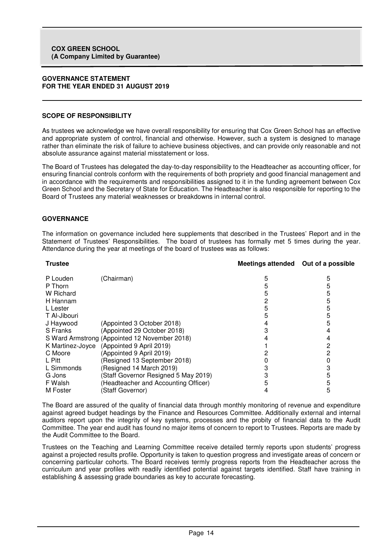#### **GOVERNANCE STATEMENT FOR THE YEAR ENDED 31 AUGUST 2019**

## **SCOPE OF RESPONSIBILITY**

As trustees we acknowledge we have overall responsibility for ensuring that Cox Green School has an effective and appropriate system of control, financial and otherwise. However, such a system is designed to manage rather than eliminate the risk of failure to achieve business objectives, and can provide only reasonable and not absolute assurance against material misstatement or loss.

The Board of Trustees has delegated the day-to-day responsibility to the Headteacher as accounting officer, for ensuring financial controls conform with the requirements of both propriety and good financial management and in accordance with the requirements and responsibilities assigned to it in the funding agreement between Cox Green School and the Secretary of State for Education. The Headteacher is also responsible for reporting to the Board of Trustees any material weaknesses or breakdowns in internal control.

## **GOVERNANCE**

The information on governance included here supplements that described in the Trustees' Report and in the Statement of Trustees' Responsibilities. The board of trustees has formally met 5 times during the year. Attendance during the year at meetings of the board of trustees was as follows:

| <b>Trustee</b>   |                                               | Meetings attended Out of a possible |   |
|------------------|-----------------------------------------------|-------------------------------------|---|
| P Louden         | (Chairman)                                    |                                     | 5 |
| P Thorn          |                                               |                                     | 5 |
| W Richard        |                                               |                                     | 5 |
| H Hannam         |                                               |                                     | 5 |
| L Lester         |                                               |                                     | 5 |
| T Al-Jibouri     |                                               |                                     | 5 |
| J Haywood        | (Appointed 3 October 2018)                    |                                     | 5 |
| S Franks         | (Appointed 29 October 2018)                   |                                     |   |
|                  | S Ward Armstrong (Appointed 12 November 2018) |                                     |   |
| K Martinez-Joyce | (Appointed 9 April 2019)                      |                                     | 2 |
| C Moore          | (Appointed 9 April 2019)                      |                                     |   |
| L Pitt           | (Resigned 13 September 2018)                  |                                     |   |
| L Simmonds       | (Resigned 14 March 2019)                      |                                     |   |
| G Jons           | Staff Governor Resigned 5 May 2019)           |                                     | 5 |
| F Walsh          | (Headteacher and Accounting Officer)          |                                     | 5 |
| M Foster         | (Staff Governor)                              |                                     | 5 |

The Board are assured of the quality of financial data through monthly monitoring of revenue and expenditure against agreed budget headings by the Finance and Resources Committee. Additionally external and internal auditors report upon the integrity of key systems, processes and the probity of financial data to the Audit Committee. The year end audit has found no major items of concern to report to Trustees. Reports are made by the Audit Committee to the Board.

Trustees on the Teaching and Learning Committee receive detailed termly reports upon students' progress against a projected results profile. Opportunity is taken to question progress and investigate areas of concern or concerning particular cohorts. The Board receives termly progress reports from the Headteacher across the curriculum and year profiles with readily identified potential against targets identified. Staff have training in establishing & assessing grade boundaries as key to accurate forecasting.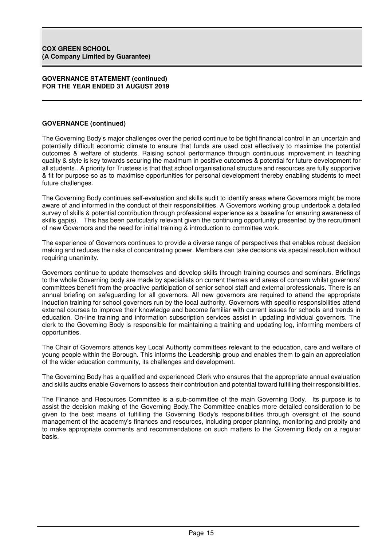## **GOVERNANCE (continued)**

The Governing Body's major challenges over the period continue to be tight financial control in an uncertain and potentially difficult economic climate to ensure that funds are used cost effectively to maximise the potential outcomes & welfare of students. Raising school performance through continuous improvement in teaching quality & style is key towards securing the maximum in positive outcomes & potential for future development for all students.. A priority for Trustees is that that school organisational structure and resources are fully supportive & fit for purpose so as to maximise opportunities for personal development thereby enabling students to meet future challenges.

The Governing Body continues self-evaluation and skills audit to identify areas where Governors might be more aware of and informed in the conduct of their responsibilities. A Governors working group undertook a detailed survey of skills & potential contribution through professional experience as a baseline for ensuring awareness of skills gap(s). This has been particularly relevant given the continuing opportunity presented by the recruitment of new Governors and the need for initial training & introduction to committee work.

The experience of Governors continues to provide a diverse range of perspectives that enables robust decision making and reduces the risks of concentrating power. Members can take decisions via special resolution without requiring unanimity.

Governors continue to update themselves and develop skills through training courses and seminars. Briefings to the whole Governing body are made by specialists on current themes and areas of concern whilst governors' committees benefit from the proactive participation of senior school staff and external professionals. There is an annual briefing on safeguarding for all governors. All new governors are required to attend the appropriate induction training for school governors run by the local authority. Governors with specific responsibilities attend external courses to improve their knowledge and become familiar with current issues for schools and trends in education. On-line training and information subscription services assist in updating individual governors. The clerk to the Governing Body is responsible for maintaining a training and updating log, informing members of opportunities.

The Chair of Governors attends key Local Authority committees relevant to the education, care and welfare of young people within the Borough. This informs the Leadership group and enables them to gain an appreciation of the wider education community, its challenges and development.

The Governing Body has a qualified and experienced Clerk who ensures that the appropriate annual evaluation and skills audits enable Governors to assess their contribution and potential toward fulfilling their responsibilities.

The Finance and Resources Committee is a sub-committee of the main Governing Body. Its purpose is to assist the decision making of the Governing Body.The Committee enables more detailed consideration to be given to the best means of fulfilling the Governing Body's responsibilities through oversight of the sound management of the academy's finances and resources, including proper planning, monitoring and probity and to make appropriate comments and recommendations on such matters to the Governing Body on a regular basis.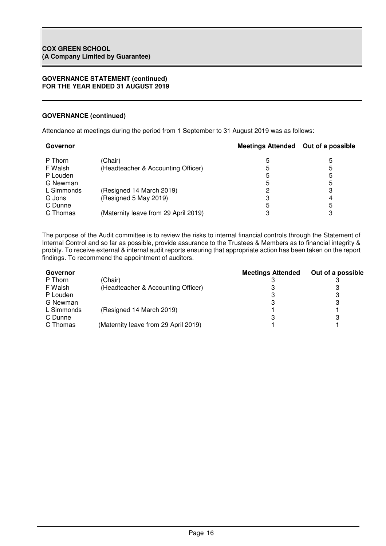## **GOVERNANCE (continued)**

Attendance at meetings during the period from 1 September to 31 August 2019 was as follows:

| Governor           |                                      | Meetings Attended Out of a possible |   |
|--------------------|--------------------------------------|-------------------------------------|---|
| (Chair)<br>P Thorn |                                      | 5                                   | 5 |
| F Walsh            | (Headteacher & Accounting Officer)   | 5                                   | 5 |
| P Louden           |                                      | 5                                   | 5 |
| G Newman           |                                      | 5                                   | 5 |
| L Simmonds         | (Resigned 14 March 2019)             |                                     |   |
| G Jons             | (Resigned 5 May 2019)                | З                                   | 4 |
| C Dunne            |                                      | 5                                   | 5 |
| C Thomas           | (Maternity leave from 29 April 2019) | З                                   |   |

The purpose of the Audit committee is to review the risks to internal financial controls through the Statement of Internal Control and so far as possible, provide assurance to the Trustees & Members as to financial integrity & probity. To receive external & internal audit reports ensuring that appropriate action has been taken on the report findings. To recommend the appointment of auditors.

| Governor   |                                      | <b>Meetings Attended</b> | Out of a possible |
|------------|--------------------------------------|--------------------------|-------------------|
| P Thorn    | (Chair)                              |                          |                   |
| F Walsh    | (Headteacher & Accounting Officer)   |                          |                   |
| P Louden   |                                      |                          | 3                 |
| G Newman   |                                      |                          | 3                 |
| L Simmonds | (Resigned 14 March 2019)             |                          |                   |
| C Dunne    |                                      |                          | 3                 |
| C Thomas   | (Maternity leave from 29 April 2019) |                          |                   |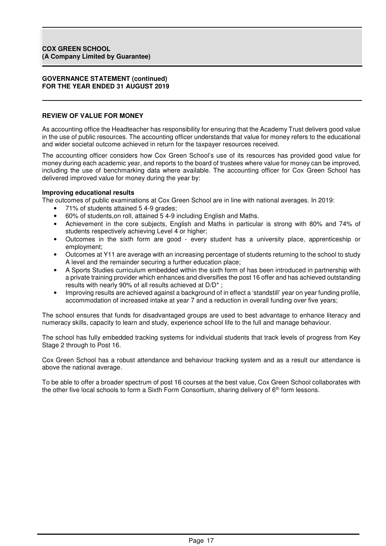## **REVIEW OF VALUE FOR MONEY**

As accounting office the Headteacher has responsibility for ensuring that the Academy Trust delivers good value in the use of public resources. The accounting officer understands that value for money refers to the educational and wider societal outcome achieved in return for the taxpayer resources received.

The accounting officer considers how Cox Green School's use of its resources has provided good value for money during each academic year, and reports to the board of trustees where value for money can be improved, including the use of benchmarking data where available. The accounting officer for Cox Green School has delivered improved value for money during the year by:

#### **Improving educational results**

The outcomes of public examinations at Cox Green School are in line with national averages. In 2019:

- 71% of students attained 5 4-9 grades;
- 60% of students,on roll, attained 5 4-9 including English and Maths.
- Achievement in the core subjects, English and Maths in particular is strong with 80% and 74% of students respectively achieving Level 4 or higher;
- Outcomes in the sixth form are good every student has a university place, apprenticeship or employment;
- Outcomes at Y11 are average with an increasing percentage of students returning to the school to study A level and the remainder securing a further education place;
- A Sports Studies curriculum embedded within the sixth form of has been introduced in partnership with a private training provider which enhances and diversifies the post 16 offer and has achieved outstanding results with nearly 90% of all results achieved at D/D\* ;
- Improving results are achieved against a background of in effect a 'standstill' year on year funding profile, accommodation of increased intake at year 7 and a reduction in overall funding over five years;

The school ensures that funds for disadvantaged groups are used to best advantage to enhance literacy and numeracy skills, capacity to learn and study, experience school life to the full and manage behaviour.

The school has fully embedded tracking systems for individual students that track levels of progress from Key Stage 2 through to Post 16.

Cox Green School has a robust attendance and behaviour tracking system and as a result our attendance is above the national average.

To be able to offer a broader spectrum of post 16 courses at the best value, Cox Green School collaborates with the other five local schools to form a Sixth Form Consortium, sharing delivery of 6<sup>th</sup> form lessons.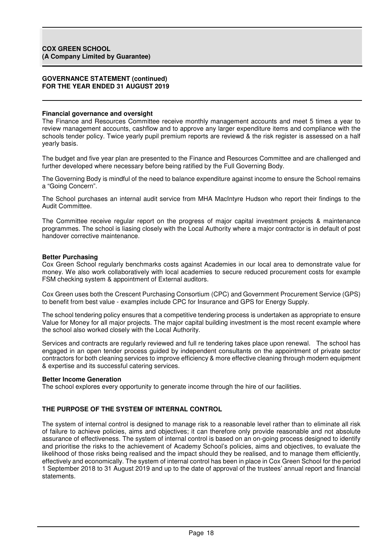#### **Financial governance and oversight**

The Finance and Resources Committee receive monthly management accounts and meet 5 times a year to review management accounts, cashflow and to approve any larger expenditure items and compliance with the schools tender policy. Twice yearly pupil premium reports are reviewd & the risk register is assessed on a half yearly basis.

The budget and five year plan are presented to the Finance and Resources Committee and are challenged and further developed where necessary before being ratified by the Full Governing Body.

The Governing Body is mindful of the need to balance expenditure against income to ensure the School remains a "Going Concern".

The School purchases an internal audit service from MHA MacIntyre Hudson who report their findings to the Audit Committee.

The Committee receive regular report on the progress of major capital investment projects & maintenance programmes. The school is liasing closely with the Local Authority where a major contractor is in default of post handover corrective maintenance.

#### **Better Purchasing**

Cox Green School regularly benchmarks costs against Academies in our local area to demonstrate value for money. We also work collaboratively with local academies to secure reduced procurement costs for example FSM checking system & appointment of External auditors.

Cox Green uses both the Crescent Purchasing Consortium (CPC) and Government Procurement Service (GPS) to benefit from best value - examples include CPC for Insurance and GPS for Energy Supply.

The school tendering policy ensures that a competitive tendering process is undertaken as appropriate to ensure Value for Money for all major projects. The major capital building investment is the most recent example where the school also worked closely with the Local Authority.

Services and contracts are regularly reviewed and full re tendering takes place upon renewal. The school has engaged in an open tender process guided by independent consultants on the appointment of private sector contractors for both cleaning services to improve efficiency & more effective cleaning through modern equipment & expertise and its successful catering services.

#### **Better Income Generation**

The school explores every opportunity to generate income through the hire of our facilities.

## **THE PURPOSE OF THE SYSTEM OF INTERNAL CONTROL**

The system of internal control is designed to manage risk to a reasonable level rather than to eliminate all risk of failure to achieve policies, aims and objectives; it can therefore only provide reasonable and not absolute assurance of effectiveness. The system of internal control is based on an on-going process designed to identify and prioritise the risks to the achievement of Academy School's policies, aims and objectives, to evaluate the likelihood of those risks being realised and the impact should they be realised, and to manage them efficiently, effectively and economically. The system of internal control has been in place in Cox Green School for the period 1 September 2018 to 31 August 2019 and up to the date of approval of the trustees' annual report and financial statements.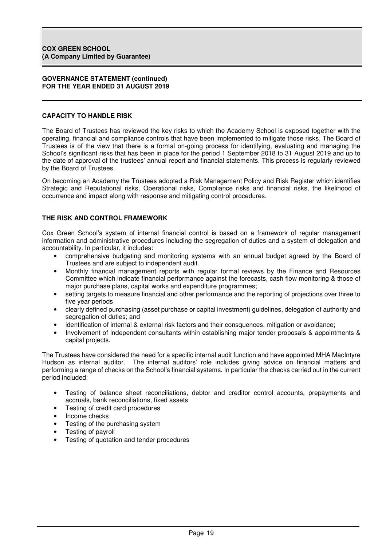## **CAPACITY TO HANDLE RISK**

The Board of Trustees has reviewed the key risks to which the Academy School is exposed together with the operating, financial and compliance controls that have been implemented to mitigate those risks. The Board of Trustees is of the view that there is a formal on-going process for identifying, evaluating and managing the School's significant risks that has been in place for the period 1 September 2018 to 31 August 2019 and up to the date of approval of the trustees' annual report and financial statements. This process is regularly reviewed by the Board of Trustees.

On becoming an Academy the Trustees adopted a Risk Management Policy and Risk Register which identifies Strategic and Reputational risks, Operational risks, Compliance risks and financial risks, the likelihood of occurrence and impact along with response and mitigating control procedures.

## **THE RISK AND CONTROL FRAMEWORK**

Cox Green School's system of internal financial control is based on a framework of regular management information and administrative procedures including the segregation of duties and a system of delegation and accountability. In particular, it includes:

- comprehensive budgeting and monitoring systems with an annual budget agreed by the Board of Trustees and are subject to independent audit.
- Monthly financial management reports with regular formal reviews by the Finance and Resources Committee which indicate financial performance against the forecasts, cash flow monitoring & those of major purchase plans, capital works and expenditure programmes;
- setting targets to measure financial and other performance and the reporting of projections over three to five year periods
- clearly defined purchasing (asset purchase or capital investment) guidelines, delegation of authority and segregation of duties; and
- identification of internal & external risk factors and their consquences, mitigation or avoidance;
- Involvement of independent consultants within establishing major tender proposals & appointments & capital projects.

The Trustees have considered the need for a specific internal audit function and have appointed MHA MacIntyre Hudson as internal auditor. The internal auditors' role includes giving advice on financial matters and performing a range of checks on the School's financial systems. In particular the checks carried out in the current period included:

- Testing of balance sheet reconciliations, debtor and creditor control accounts, prepayments and accruals, bank reconciliations, fixed assets
- Testing of credit card procedures
- Income checks
- Testing of the purchasing system
- Testing of payroll
- Testing of quotation and tender procedures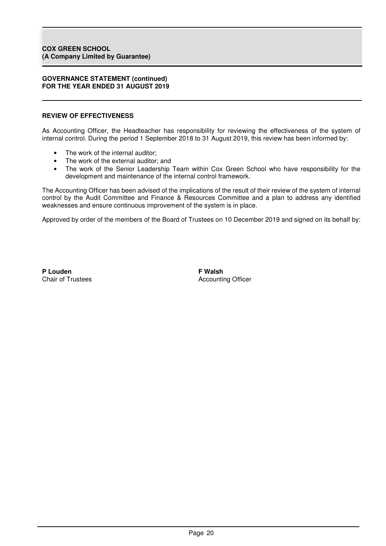## **REVIEW OF EFFECTIVENESS**

As Accounting Officer, the Headteacher has responsibility for reviewing the effectiveness of the system of internal control. During the period 1 September 2018 to 31 August 2019, this review has been informed by:

- The work of the internal auditor:
- The work of the external auditor; and
- The work of the Senior Leadership Team within Cox Green School who have responsibility for the development and maintenance of the internal control framework.

The Accounting Officer has been advised of the implications of the result of their review of the system of internal control by the Audit Committee and Finance & Resources Committee and a plan to address any identified weaknesses and ensure continuous improvement of the system is in place.

Approved by order of the members of the Board of Trustees on 10 December 2019 and signed on its behalf by:

P Louden **P** Louden

Chair of Trustees **Accounting Officer** Accounting Officer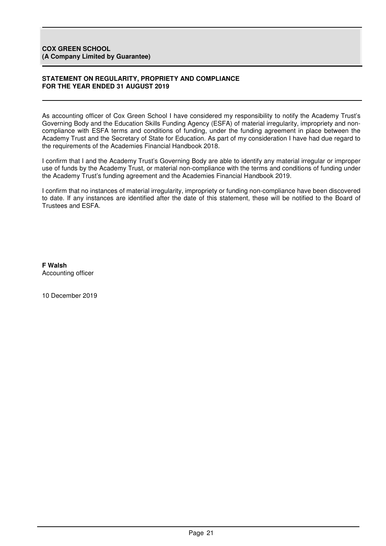## **STATEMENT ON REGULARITY, PROPRIETY AND COMPLIANCE FOR THE YEAR ENDED 31 AUGUST 2019**

As accounting officer of Cox Green School I have considered my responsibility to notify the Academy Trust's Governing Body and the Education Skills Funding Agency (ESFA) of material irregularity, impropriety and noncompliance with ESFA terms and conditions of funding, under the funding agreement in place between the Academy Trust and the Secretary of State for Education. As part of my consideration I have had due regard to the requirements of the Academies Financial Handbook 2018.

I confirm that I and the Academy Trust's Governing Body are able to identify any material irregular or improper use of funds by the Academy Trust, or material non-compliance with the terms and conditions of funding under the Academy Trust's funding agreement and the Academies Financial Handbook 2019.

I confirm that no instances of material irregularity, impropriety or funding non-compliance have been discovered to date. If any instances are identified after the date of this statement, these will be notified to the Board of Trustees and ESFA.

**F Walsh**  Accounting officer

10 December 2019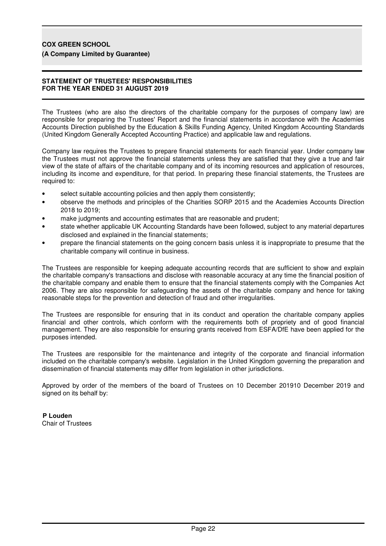# **COX GREEN SCHOOL**

**(A Company Limited by Guarantee)**

## **STATEMENT OF TRUSTEES' RESPONSIBILITIES FOR THE YEAR ENDED 31 AUGUST 2019**

The Trustees (who are also the directors of the charitable company for the purposes of company law) are responsible for preparing the Trustees' Report and the financial statements in accordance with the Academies Accounts Direction published by the Education & Skills Funding Agency, United Kingdom Accounting Standards (United Kingdom Generally Accepted Accounting Practice) and applicable law and regulations.

Company law requires the Trustees to prepare financial statements for each financial year. Under company law the Trustees must not approve the financial statements unless they are satisfied that they give a true and fair view of the state of affairs of the charitable company and of its incoming resources and application of resources, including its income and expenditure, for that period. In preparing these financial statements, the Trustees are required to:

- select suitable accounting policies and then apply them consistently;
- observe the methods and principles of the Charities SORP 2015 and the Academies Accounts Direction 2018 to 2019;
- make judgments and accounting estimates that are reasonable and prudent;
- state whether applicable UK Accounting Standards have been followed, subject to any material departures disclosed and explained in the financial statements;
- prepare the financial statements on the going concern basis unless it is inappropriate to presume that the charitable company will continue in business.

The Trustees are responsible for keeping adequate accounting records that are sufficient to show and explain the charitable company's transactions and disclose with reasonable accuracy at any time the financial position of the charitable company and enable them to ensure that the financial statements comply with the Companies Act 2006. They are also responsible for safeguarding the assets of the charitable company and hence for taking reasonable steps for the prevention and detection of fraud and other irregularities.

The Trustees are responsible for ensuring that in its conduct and operation the charitable company applies financial and other controls, which conform with the requirements both of propriety and of good financial management. They are also responsible for ensuring grants received from ESFA/DfE have been applied for the purposes intended.

The Trustees are responsible for the maintenance and integrity of the corporate and financial information included on the charitable company's website. Legislation in the United Kingdom governing the preparation and dissemination of financial statements may differ from legislation in other jurisdictions.

Approved by order of the members of the board of Trustees on 10 December 201910 December 2019 and signed on its behalf by:

**P Louden** Chair of Trustees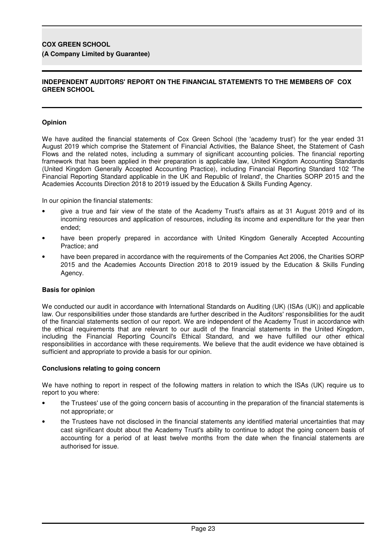# **COX GREEN SCHOOL**

## **(A Company Limited by Guarantee)**

## **INDEPENDENT AUDITORS' REPORT ON THE FINANCIAL STATEMENTS TO THE MEMBERS OF COX GREEN SCHOOL**

## **Opinion**

We have audited the financial statements of Cox Green School (the 'academy trust') for the year ended 31 August 2019 which comprise the Statement of Financial Activities, the Balance Sheet, the Statement of Cash Flows and the related notes, including a summary of significant accounting policies. The financial reporting framework that has been applied in their preparation is applicable law, United Kingdom Accounting Standards (United Kingdom Generally Accepted Accounting Practice), including Financial Reporting Standard 102 'The Financial Reporting Standard applicable in the UK and Republic of Ireland', the Charities SORP 2015 and the Academies Accounts Direction 2018 to 2019 issued by the Education & Skills Funding Agency.

In our opinion the financial statements:

- give a true and fair view of the state of the Academy Trust's affairs as at 31 August 2019 and of its incoming resources and application of resources, including its income and expenditure for the year then ended;
- have been properly prepared in accordance with United Kingdom Generally Accepted Accounting Practice; and
- have been prepared in accordance with the requirements of the Companies Act 2006, the Charities SORP 2015 and the Academies Accounts Direction 2018 to 2019 issued by the Education & Skills Funding Agency.

## **Basis for opinion**

We conducted our audit in accordance with International Standards on Auditing (UK) (ISAs (UK)) and applicable law. Our responsibilities under those standards are further described in the Auditors' responsibilities for the audit of the financial statements section of our report. We are independent of the Academy Trust in accordance with the ethical requirements that are relevant to our audit of the financial statements in the United Kingdom, including the Financial Reporting Council's Ethical Standard, and we have fulfilled our other ethical responsibilities in accordance with these requirements. We believe that the audit evidence we have obtained is sufficient and appropriate to provide a basis for our opinion.

#### **Conclusions relating to going concern**

We have nothing to report in respect of the following matters in relation to which the ISAs (UK) require us to report to you where:

- the Trustees' use of the going concern basis of accounting in the preparation of the financial statements is not appropriate; or
- the Trustees have not disclosed in the financial statements any identified material uncertainties that may cast significant doubt about the Academy Trust's ability to continue to adopt the going concern basis of accounting for a period of at least twelve months from the date when the financial statements are authorised for issue.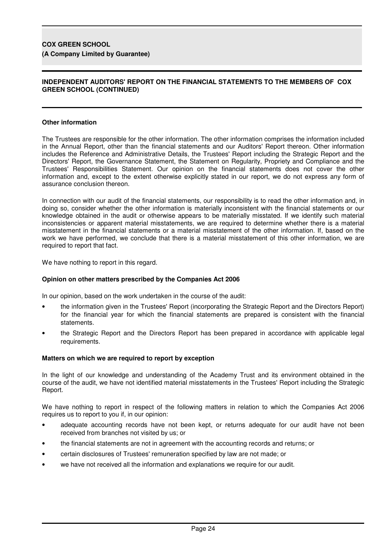## **COX GREEN SCHOOL (A Company Limited by Guarantee)**

## **INDEPENDENT AUDITORS' REPORT ON THE FINANCIAL STATEMENTS TO THE MEMBERS OF COX GREEN SCHOOL (CONTINUED)**

## **Other information**

The Trustees are responsible for the other information. The other information comprises the information included in the Annual Report, other than the financial statements and our Auditors' Report thereon. Other information includes the Reference and Administrative Details, the Trustees' Report including the Strategic Report and the Directors' Report, the Governance Statement, the Statement on Regularity, Propriety and Compliance and the Trustees' Responsibilities Statement. Our opinion on the financial statements does not cover the other information and, except to the extent otherwise explicitly stated in our report, we do not express any form of assurance conclusion thereon.

In connection with our audit of the financial statements, our responsibility is to read the other information and, in doing so, consider whether the other information is materially inconsistent with the financial statements or our knowledge obtained in the audit or otherwise appears to be materially misstated. If we identify such material inconsistencies or apparent material misstatements, we are required to determine whether there is a material misstatement in the financial statements or a material misstatement of the other information. If, based on the work we have performed, we conclude that there is a material misstatement of this other information, we are required to report that fact.

We have nothing to report in this regard.

## **Opinion on other matters prescribed by the Companies Act 2006**

In our opinion, based on the work undertaken in the course of the audit:

- the information given in the Trustees' Report (incorporating the Strategic Report and the Directors Report) for the financial year for which the financial statements are prepared is consistent with the financial statements.
- the Strategic Report and the Directors Report has been prepared in accordance with applicable legal requirements.

## **Matters on which we are required to report by exception**

In the light of our knowledge and understanding of the Academy Trust and its environment obtained in the course of the audit, we have not identified material misstatements in the Trustees' Report including the Strategic Report.

We have nothing to report in respect of the following matters in relation to which the Companies Act 2006 requires us to report to you if, in our opinion:

- adequate accounting records have not been kept, or returns adequate for our audit have not been received from branches not visited by us; or
- the financial statements are not in agreement with the accounting records and returns; or
- certain disclosures of Trustees' remuneration specified by law are not made; or
- we have not received all the information and explanations we require for our audit.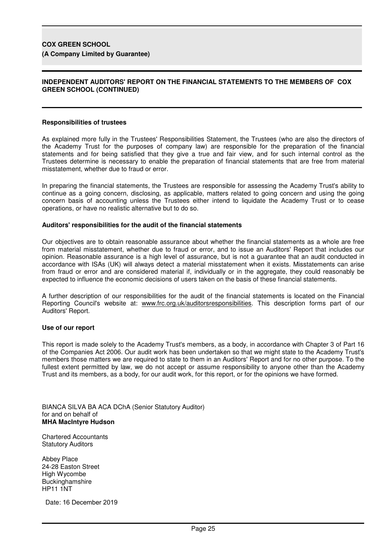## **COX GREEN SCHOOL (A Company Limited by Guarantee)**

## **INDEPENDENT AUDITORS' REPORT ON THE FINANCIAL STATEMENTS TO THE MEMBERS OF COX GREEN SCHOOL (CONTINUED)**

#### **Responsibilities of trustees**

As explained more fully in the Trustees' Responsibilities Statement, the Trustees (who are also the directors of the Academy Trust for the purposes of company law) are responsible for the preparation of the financial statements and for being satisfied that they give a true and fair view, and for such internal control as the Trustees determine is necessary to enable the preparation of financial statements that are free from material misstatement, whether due to fraud or error.

In preparing the financial statements, the Trustees are responsible for assessing the Academy Trust's ability to continue as a going concern, disclosing, as applicable, matters related to going concern and using the going concern basis of accounting unless the Trustees either intend to liquidate the Academy Trust or to cease operations, or have no realistic alternative but to do so.

#### **Auditors' responsibilities for the audit of the financial statements**

Our objectives are to obtain reasonable assurance about whether the financial statements as a whole are free from material misstatement, whether due to fraud or error, and to issue an Auditors' Report that includes our opinion. Reasonable assurance is a high level of assurance, but is not a guarantee that an audit conducted in accordance with ISAs (UK) will always detect a material misstatement when it exists. Misstatements can arise from fraud or error and are considered material if, individually or in the aggregate, they could reasonably be expected to influence the economic decisions of users taken on the basis of these financial statements.

A further description of our responsibilities for the audit of the financial statements is located on the Financial Reporting Council's website at: www.frc.org.uk/auditorsresponsibilities. This description forms part of our Auditors' Report.

#### **Use of our report**

This report is made solely to the Academy Trust's members, as a body, in accordance with Chapter 3 of Part 16 of the Companies Act 2006. Our audit work has been undertaken so that we might state to the Academy Trust's members those matters we are required to state to them in an Auditors' Report and for no other purpose. To the fullest extent permitted by law, we do not accept or assume responsibility to anyone other than the Academy Trust and its members, as a body, for our audit work, for this report, or for the opinions we have formed.

BIANCA SILVA BA ACA DChA (Senior Statutory Auditor) for and on behalf of **MHA MacIntyre Hudson** 

Chartered Accountants Statutory Auditors

Abbey Place 24-28 Easton Street High Wycombe **Buckinghamshire** HP11 1NT

Date: 16 December 2019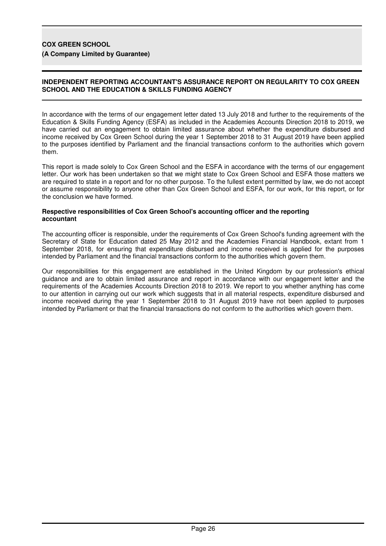# **COX GREEN SCHOOL**

**(A Company Limited by Guarantee)**

## **INDEPENDENT REPORTING ACCOUNTANT'S ASSURANCE REPORT ON REGULARITY TO COX GREEN SCHOOL AND THE EDUCATION & SKILLS FUNDING AGENCY**

In accordance with the terms of our engagement letter dated 13 July 2018 and further to the requirements of the Education & Skills Funding Agency (ESFA) as included in the Academies Accounts Direction 2018 to 2019, we have carried out an engagement to obtain limited assurance about whether the expenditure disbursed and income received by Cox Green School during the year 1 September 2018 to 31 August 2019 have been applied to the purposes identified by Parliament and the financial transactions conform to the authorities which govern them.

This report is made solely to Cox Green School and the ESFA in accordance with the terms of our engagement letter. Our work has been undertaken so that we might state to Cox Green School and ESFA those matters we are required to state in a report and for no other purpose. To the fullest extent permitted by law, we do not accept or assume responsibility to anyone other than Cox Green School and ESFA, for our work, for this report, or for the conclusion we have formed.

#### **Respective responsibilities of Cox Green School's accounting officer and the reporting accountant**

The accounting officer is responsible, under the requirements of Cox Green School's funding agreement with the Secretary of State for Education dated 25 May 2012 and the Academies Financial Handbook, extant from 1 September 2018, for ensuring that expenditure disbursed and income received is applied for the purposes intended by Parliament and the financial transactions conform to the authorities which govern them.

Our responsibilities for this engagement are established in the United Kingdom by our profession's ethical guidance and are to obtain limited assurance and report in accordance with our engagement letter and the requirements of the Academies Accounts Direction 2018 to 2019. We report to you whether anything has come to our attention in carrying out our work which suggests that in all material respects, expenditure disbursed and income received during the year 1 September 2018 to 31 August 2019 have not been applied to purposes intended by Parliament or that the financial transactions do not conform to the authorities which govern them.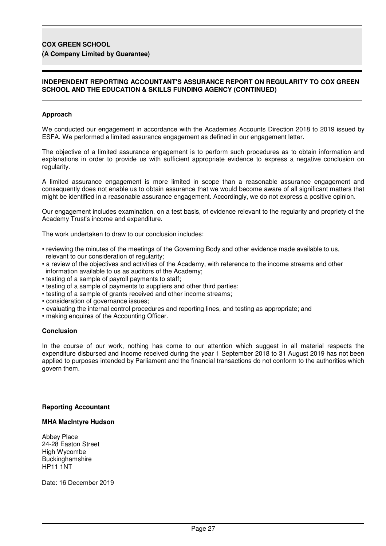## **COX GREEN SCHOOL**

## **(A Company Limited by Guarantee)**

## **INDEPENDENT REPORTING ACCOUNTANT'S ASSURANCE REPORT ON REGULARITY TO COX GREEN SCHOOL AND THE EDUCATION & SKILLS FUNDING AGENCY (CONTINUED)**

## **Approach**

We conducted our engagement in accordance with the Academies Accounts Direction 2018 to 2019 issued by ESFA. We performed a limited assurance engagement as defined in our engagement letter.

The objective of a limited assurance engagement is to perform such procedures as to obtain information and explanations in order to provide us with sufficient appropriate evidence to express a negative conclusion on regularity.

A limited assurance engagement is more limited in scope than a reasonable assurance engagement and consequently does not enable us to obtain assurance that we would become aware of all significant matters that might be identified in a reasonable assurance engagement. Accordingly, we do not express a positive opinion.

Our engagement includes examination, on a test basis, of evidence relevant to the regularity and propriety of the Academy Trust's income and expenditure.

The work undertaken to draw to our conclusion includes:

- reviewing the minutes of the meetings of the Governing Body and other evidence made available to us, relevant to our consideration of regularity;
- a review of the objectives and activities of the Academy, with reference to the income streams and other information available to us as auditors of the Academy;
- testing of a sample of payroll payments to staff;
- testing of a sample of payments to suppliers and other third parties;
- testing of a sample of grants received and other income streams;
- consideration of governance issues;
- evaluating the internal control procedures and reporting lines, and testing as appropriate; and
- making enquires of the Accounting Officer.

#### **Conclusion**

In the course of our work, nothing has come to our attention which suggest in all material respects the expenditure disbursed and income received during the year 1 September 2018 to 31 August 2019 has not been applied to purposes intended by Parliament and the financial transactions do not conform to the authorities which govern them.

#### **Reporting Accountant**

#### **MHA MacIntyre Hudson**

Abbey Place 24-28 Easton Street High Wycombe **Buckinghamshire** HP11 1NT

Date: 16 December 2019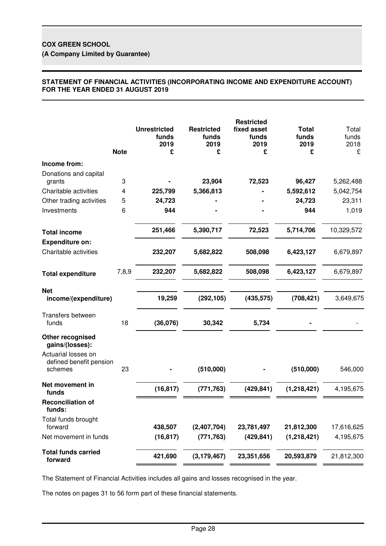## **STATEMENT OF FINANCIAL ACTIVITIES (INCORPORATING INCOME AND EXPENDITURE ACCOUNT) FOR THE YEAR ENDED 31 AUGUST 2019**

|                                                           | <b>Note</b> | <b>Unrestricted</b><br>funds<br>2019<br>£ | <b>Restricted</b><br>funds<br>2019<br>£ | <b>Restricted</b><br>fixed asset<br>funds<br>2019<br>£ | <b>Total</b><br>funds<br>2019<br>£ | Total<br>funds<br>2018<br>£ |
|-----------------------------------------------------------|-------------|-------------------------------------------|-----------------------------------------|--------------------------------------------------------|------------------------------------|-----------------------------|
| Income from:                                              |             |                                           |                                         |                                                        |                                    |                             |
| Donations and capital<br>grants                           | 3           |                                           | 23,904                                  | 72,523                                                 | 96,427                             | 5,262,488                   |
| Charitable activities                                     | 4           | 225,799                                   | 5,366,813                               |                                                        | 5,592,612                          | 5,042,754                   |
| Other trading activities                                  | 5           | 24,723                                    |                                         |                                                        | 24,723                             | 23,311                      |
| Investments                                               | 6           | 944                                       |                                         |                                                        | 944                                | 1,019                       |
| <b>Total income</b>                                       |             | 251,466                                   | 5,390,717                               | 72,523                                                 | 5,714,706                          | 10,329,572                  |
| <b>Expenditure on:</b><br>Charitable activities           |             | 232,207                                   | 5,682,822                               | 508,098                                                | 6,423,127                          | 6,679,897                   |
| <b>Total expenditure</b>                                  | 7,8,9       | 232,207                                   | 5,682,822                               | 508,098                                                | 6,423,127                          | 6,679,897                   |
| <b>Net</b><br>income/(expenditure)                        |             | 19,259                                    | (292, 105)                              | (435, 575)                                             | (708, 421)                         | 3,649,675                   |
| Transfers between<br>funds                                | 18          | (36,076)                                  | 30,342                                  | 5,734                                                  |                                    |                             |
| Other recognised<br>gains/(losses):                       |             |                                           |                                         |                                                        |                                    |                             |
| Actuarial losses on<br>defined benefit pension<br>schemes | 23          |                                           | (510,000)                               |                                                        | (510,000)                          | 546,000                     |
| Net movement in<br>funds                                  |             | (16, 817)                                 | (771, 763)                              | (429, 841)                                             | (1,218,421)                        | 4,195,675                   |
| <b>Reconciliation of</b><br>funds:                        |             |                                           |                                         |                                                        |                                    |                             |
| Total funds brought<br>forward                            |             | 438,507                                   | (2,407,704)                             | 23,781,497                                             | 21,812,300                         | 17,616,625                  |
| Net movement in funds                                     |             | (16, 817)                                 | (771, 763)                              | (429, 841)                                             | (1,218,421)                        | 4,195,675                   |
| <b>Total funds carried</b><br>forward                     |             | 421,690                                   | (3, 179, 467)                           | 23,351,656                                             | 20,593,879                         | 21,812,300                  |

The Statement of Financial Activities includes all gains and losses recognised in the year.

The notes on pages 31 to 56 form part of these financial statements.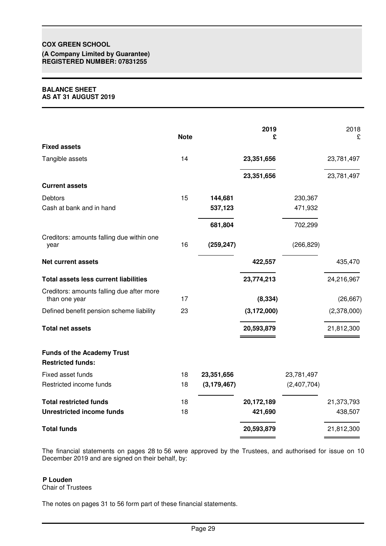# **COX GREEN SCHOOL**

**(A Company Limited by Guarantee) REGISTERED NUMBER: 07831255**

#### **BALANCE SHEET AS AT 31 AUGUST 2019**

|                                                               | <b>Note</b> |               | 2019<br>£     |             | 2018<br>£   |
|---------------------------------------------------------------|-------------|---------------|---------------|-------------|-------------|
| <b>Fixed assets</b>                                           |             |               |               |             |             |
| Tangible assets                                               | 14          |               | 23,351,656    |             | 23,781,497  |
|                                                               |             |               | 23,351,656    |             | 23,781,497  |
| <b>Current assets</b>                                         |             |               |               |             |             |
| Debtors                                                       | 15          | 144,681       |               | 230,367     |             |
| Cash at bank and in hand                                      |             | 537,123       |               | 471,932     |             |
|                                                               |             | 681,804       |               | 702,299     |             |
| Creditors: amounts falling due within one<br>year             | 16          | (259, 247)    |               | (266, 829)  |             |
| <b>Net current assets</b>                                     |             |               | 422,557       |             | 435,470     |
| <b>Total assets less current liabilities</b>                  |             |               | 23,774,213    |             | 24,216,967  |
| Creditors: amounts falling due after more<br>than one year    | 17          |               | (8, 334)      |             | (26, 667)   |
| Defined benefit pension scheme liability                      | 23          |               | (3, 172, 000) |             | (2,378,000) |
| <b>Total net assets</b>                                       |             |               | 20,593,879    |             | 21,812,300  |
| <b>Funds of the Academy Trust</b><br><b>Restricted funds:</b> |             |               |               |             |             |
| Fixed asset funds                                             | 18          | 23,351,656    |               | 23,781,497  |             |
| Restricted income funds                                       | 18          | (3, 179, 467) |               | (2,407,704) |             |
| <b>Total restricted funds</b>                                 | 18          |               | 20,172,189    |             | 21,373,793  |
| <b>Unrestricted income funds</b>                              | 18          |               | 421,690       |             | 438,507     |
| <b>Total funds</b>                                            |             |               | 20,593,879    |             | 21,812,300  |

The financial statements on pages 28 to 56 were approved by the Trustees, and authorised for issue on 10 December 2019 and are signed on their behalf, by:

# **P Louden**

Chair of Trustees

The notes on pages 31 to 56 form part of these financial statements.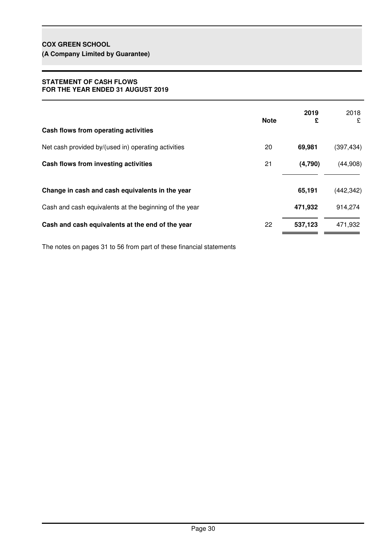## **STATEMENT OF CASH FLOWS FOR THE YEAR ENDED 31 AUGUST 2019**

| Cash flows from operating activities                   | <b>Note</b> | 2019<br>£ | 2018<br>£  |
|--------------------------------------------------------|-------------|-----------|------------|
| Net cash provided by/(used in) operating activities    | 20          | 69,981    | (397, 434) |
| Cash flows from investing activities                   | 21          | (4,790)   | (44,908)   |
| Change in cash and cash equivalents in the year        |             | 65,191    | (442, 342) |
| Cash and cash equivalents at the beginning of the year |             | 471,932   | 914,274    |
| Cash and cash equivalents at the end of the year       | 22          | 537,123   | 471,932    |

The notes on pages 31 to 56 from part of these financial statements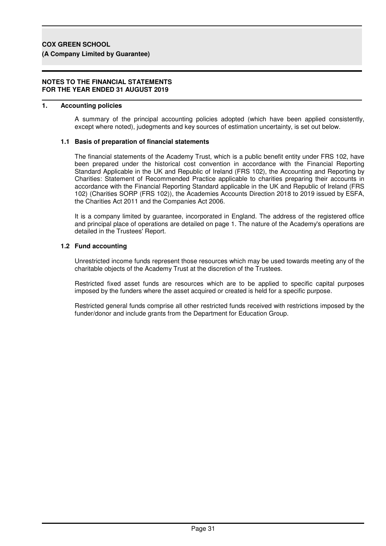#### **NOTES TO THE FINANCIAL STATEMENTS FOR THE YEAR ENDED 31 AUGUST 2019**

## **1. Accounting policies**

A summary of the principal accounting policies adopted (which have been applied consistently, except where noted), judegments and key sources of estimation uncertainty, is set out below.

#### **1.1 Basis of preparation of financial statements**

The financial statements of the Academy Trust, which is a public benefit entity under FRS 102, have been prepared under the historical cost convention in accordance with the Financial Reporting Standard Applicable in the UK and Republic of Ireland (FRS 102), the Accounting and Reporting by Charities: Statement of Recommended Practice applicable to charities preparing their accounts in accordance with the Financial Reporting Standard applicable in the UK and Republic of Ireland (FRS 102) (Charities SORP (FRS 102)), the Academies Accounts Direction 2018 to 2019 issued by ESFA, the Charities Act 2011 and the Companies Act 2006.

It is a company limited by guarantee, incorporated in England. The address of the registered office and principal place of operations are detailed on page 1. The nature of the Academy's operations are detailed in the Trustees' Report.

#### **1.2 Fund accounting**

Unrestricted income funds represent those resources which may be used towards meeting any of the charitable objects of the Academy Trust at the discretion of the Trustees.

Restricted fixed asset funds are resources which are to be applied to specific capital purposes imposed by the funders where the asset acquired or created is held for a specific purpose.

Restricted general funds comprise all other restricted funds received with restrictions imposed by the funder/donor and include grants from the Department for Education Group.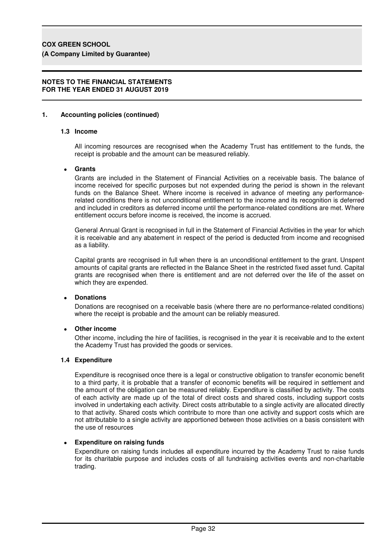#### **NOTES TO THE FINANCIAL STATEMENTS FOR THE YEAR ENDED 31 AUGUST 2019**

## **1. Accounting policies (continued)**

#### **1.3 Income**

All incoming resources are recognised when the Academy Trust has entitlement to the funds, the receipt is probable and the amount can be measured reliably.

#### • **Grants**

Grants are included in the Statement of Financial Activities on a receivable basis. The balance of income received for specific purposes but not expended during the period is shown in the relevant funds on the Balance Sheet. Where income is received in advance of meeting any performancerelated conditions there is not unconditional entitlement to the income and its recognition is deferred and included in creditors as deferred income until the performance-related conditions are met. Where entitlement occurs before income is received, the income is accrued.

General Annual Grant is recognised in full in the Statement of Financial Activities in the year for which it is receivable and any abatement in respect of the period is deducted from income and recognised as a liability.

Capital grants are recognised in full when there is an unconditional entitlement to the grant. Unspent amounts of capital grants are reflected in the Balance Sheet in the restricted fixed asset fund. Capital grants are recognised when there is entitlement and are not deferred over the life of the asset on which they are expended.

## • **Donations**

Donations are recognised on a receivable basis (where there are no performance-related conditions) where the receipt is probable and the amount can be reliably measured.

## • **Other income**

Other income, including the hire of facilities, is recognised in the year it is receivable and to the extent the Academy Trust has provided the goods or services.

#### **1.4 Expenditure**

Expenditure is recognised once there is a legal or constructive obligation to transfer economic benefit to a third party, it is probable that a transfer of economic benefits will be required in settlement and the amount of the obligation can be measured reliably. Expenditure is classified by activity. The costs of each activity are made up of the total of direct costs and shared costs, including support costs involved in undertaking each activity. Direct costs attributable to a single activity are allocated directly to that activity. Shared costs which contribute to more than one activity and support costs which are not attributable to a single activity are apportioned between those activities on a basis consistent with the use of resources

## • **Expenditure on raising funds**

Expenditure on raising funds includes all expenditure incurred by the Academy Trust to raise funds for its charitable purpose and includes costs of all fundraising activities events and non-charitable trading.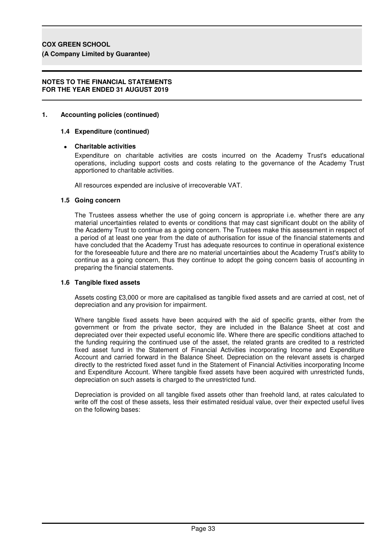#### **NOTES TO THE FINANCIAL STATEMENTS FOR THE YEAR ENDED 31 AUGUST 2019**

## **1. Accounting policies (continued)**

#### **1.4 Expenditure (continued)**

## • **Charitable activities**

Expenditure on charitable activities are costs incurred on the Academy Trust's educational operations, including support costs and costs relating to the governance of the Academy Trust apportioned to charitable activities.

All resources expended are inclusive of irrecoverable VAT.

#### **1.5 Going concern**

The Trustees assess whether the use of going concern is appropriate i.e. whether there are any material uncertainties related to events or conditions that may cast significant doubt on the ability of the Academy Trust to continue as a going concern. The Trustees make this assessment in respect of a period of at least one year from the date of authorisation for issue of the financial statements and have concluded that the Academy Trust has adequate resources to continue in operational existence for the foreseeable future and there are no material uncertainties about the Academy Trust's ability to continue as a going concern, thus they continue to adopt the going concern basis of accounting in preparing the financial statements.

#### **1.6 Tangible fixed assets**

Assets costing £3,000 or more are capitalised as tangible fixed assets and are carried at cost, net of depreciation and any provision for impairment.

Where tangible fixed assets have been acquired with the aid of specific grants, either from the government or from the private sector, they are included in the Balance Sheet at cost and depreciated over their expected useful economic life. Where there are specific conditions attached to the funding requiring the continued use of the asset, the related grants are credited to a restricted fixed asset fund in the Statement of Financial Activities incorporating Income and Expenditure Account and carried forward in the Balance Sheet. Depreciation on the relevant assets is charged directly to the restricted fixed asset fund in the Statement of Financial Activities incorporating Income and Expenditure Account. Where tangible fixed assets have been acquired with unrestricted funds, depreciation on such assets is charged to the unrestricted fund.

Depreciation is provided on all tangible fixed assets other than freehold land, at rates calculated to write off the cost of these assets, less their estimated residual value, over their expected useful lives on the following bases: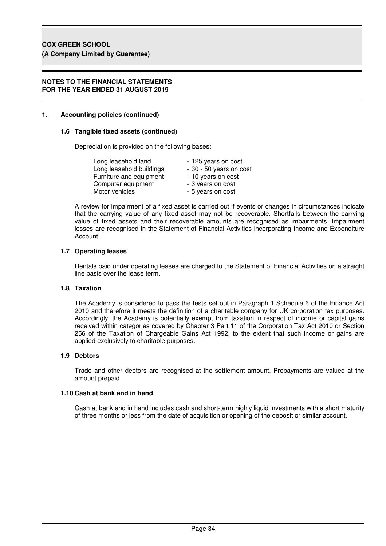## **NOTES TO THE FINANCIAL STATEMENTS FOR THE YEAR ENDED 31 AUGUST 2019**

# **1. Accounting policies (continued)**

# **1.6 Tangible fixed assets (continued)**

Depreciation is provided on the following bases:

| Long leasehold land      | - 125 years on cost     |
|--------------------------|-------------------------|
| Long leasehold buildings | - 30 - 50 years on cost |
| Furniture and equipment  | - 10 years on cost      |
| Computer equipment       | - 3 years on cost       |
| Motor vehicles           | - 5 years on cost       |

A review for impairment of a fixed asset is carried out if events or changes in circumstances indicate that the carrying value of any fixed asset may not be recoverable. Shortfalls between the carrying value of fixed assets and their recoverable amounts are recognised as impairments. Impairment losses are recognised in the Statement of Financial Activities incorporating Income and Expenditure Account.

# **1.7 Operating leases**

Rentals paid under operating leases are charged to the Statement of Financial Activities on a straight line basis over the lease term.

## **1.8 Taxation**

The Academy is considered to pass the tests set out in Paragraph 1 Schedule 6 of the Finance Act 2010 and therefore it meets the definition of a charitable company for UK corporation tax purposes. Accordingly, the Academy is potentially exempt from taxation in respect of income or capital gains received within categories covered by Chapter 3 Part 11 of the Corporation Tax Act 2010 or Section 256 of the Taxation of Chargeable Gains Act 1992, to the extent that such income or gains are applied exclusively to charitable purposes.

## **1.9 Debtors**

Trade and other debtors are recognised at the settlement amount. Prepayments are valued at the amount prepaid.

## **1.10 Cash at bank and in hand**

Cash at bank and in hand includes cash and short-term highly liquid investments with a short maturity of three months or less from the date of acquisition or opening of the deposit or similar account.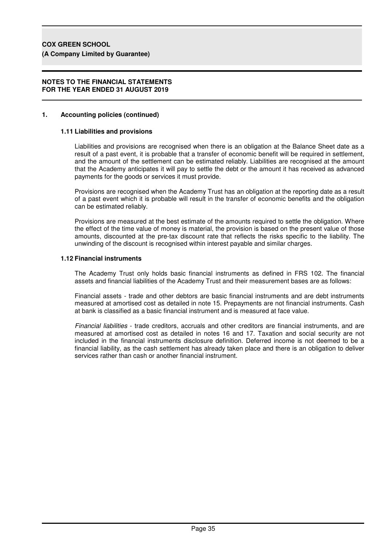#### **NOTES TO THE FINANCIAL STATEMENTS FOR THE YEAR ENDED 31 AUGUST 2019**

## **1. Accounting policies (continued)**

## **1.11 Liabilities and provisions**

Liabilities and provisions are recognised when there is an obligation at the Balance Sheet date as a result of a past event, it is probable that a transfer of economic benefit will be required in settlement, and the amount of the settlement can be estimated reliably. Liabilities are recognised at the amount that the Academy anticipates it will pay to settle the debt or the amount it has received as advanced payments for the goods or services it must provide.

Provisions are recognised when the Academy Trust has an obligation at the reporting date as a result of a past event which it is probable will result in the transfer of economic benefits and the obligation can be estimated reliably.

Provisions are measured at the best estimate of the amounts required to settle the obligation. Where the effect of the time value of money is material, the provision is based on the present value of those amounts, discounted at the pre-tax discount rate that reflects the risks specific to the liability. The unwinding of the discount is recognised within interest payable and similar charges.

#### **1.12 Financial instruments**

The Academy Trust only holds basic financial instruments as defined in FRS 102. The financial assets and financial liabilities of the Academy Trust and their measurement bases are as follows:

Financial assets - trade and other debtors are basic financial instruments and are debt instruments measured at amortised cost as detailed in note 15. Prepayments are not financial instruments. Cash at bank is classified as a basic financial instrument and is measured at face value.

Financial liabilities - trade creditors, accruals and other creditors are financial instruments, and are measured at amortised cost as detailed in notes 16 and 17. Taxation and social security are not included in the financial instruments disclosure definition. Deferred income is not deemed to be a financial liability, as the cash settlement has already taken place and there is an obligation to deliver services rather than cash or another financial instrument.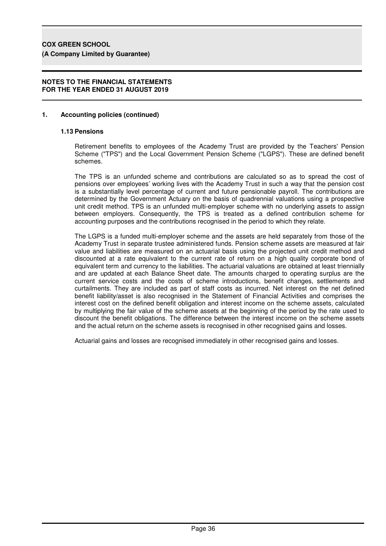## **NOTES TO THE FINANCIAL STATEMENTS FOR THE YEAR ENDED 31 AUGUST 2019**

## **1. Accounting policies (continued)**

#### **1.13 Pensions**

Retirement benefits to employees of the Academy Trust are provided by the Teachers' Pension Scheme ("TPS") and the Local Government Pension Scheme ("LGPS"). These are defined benefit schemes.

The TPS is an unfunded scheme and contributions are calculated so as to spread the cost of pensions over employees' working lives with the Academy Trust in such a way that the pension cost is a substantially level percentage of current and future pensionable payroll. The contributions are determined by the Government Actuary on the basis of quadrennial valuations using a prospective unit credit method. TPS is an unfunded multi-employer scheme with no underlying assets to assign between employers. Consequently, the TPS is treated as a defined contribution scheme for accounting purposes and the contributions recognised in the period to which they relate.

The LGPS is a funded multi-employer scheme and the assets are held separately from those of the Academy Trust in separate trustee administered funds. Pension scheme assets are measured at fair value and liabilities are measured on an actuarial basis using the projected unit credit method and discounted at a rate equivalent to the current rate of return on a high quality corporate bond of equivalent term and currency to the liabilities. The actuarial valuations are obtained at least triennially and are updated at each Balance Sheet date. The amounts charged to operating surplus are the current service costs and the costs of scheme introductions, benefit changes, settlements and curtailments. They are included as part of staff costs as incurred. Net interest on the net defined benefit liability/asset is also recognised in the Statement of Financial Activities and comprises the interest cost on the defined benefit obligation and interest income on the scheme assets, calculated by multiplying the fair value of the scheme assets at the beginning of the period by the rate used to discount the benefit obligations. The difference between the interest income on the scheme assets and the actual return on the scheme assets is recognised in other recognised gains and losses.

Actuarial gains and losses are recognised immediately in other recognised gains and losses.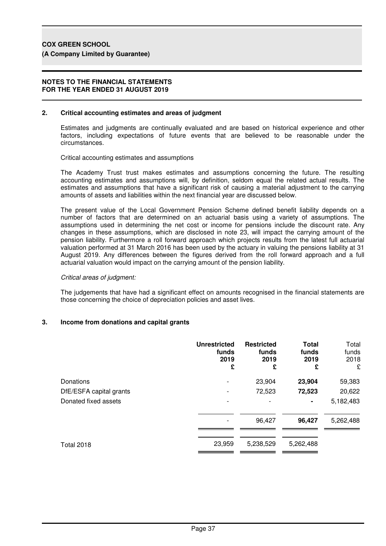#### **NOTES TO THE FINANCIAL STATEMENTS FOR THE YEAR ENDED 31 AUGUST 2019**

#### **2. Critical accounting estimates and areas of judgment**

Estimates and judgments are continually evaluated and are based on historical experience and other factors, including expectations of future events that are believed to be reasonable under the circumstances.

Critical accounting estimates and assumptions

The Academy Trust trust makes estimates and assumptions concerning the future. The resulting accounting estimates and assumptions will, by definition, seldom equal the related actual results. The estimates and assumptions that have a significant risk of causing a material adjustment to the carrying amounts of assets and liabilities within the next financial year are discussed below.

The present value of the Local Government Pension Scheme defined benefit liability depends on a number of factors that are determined on an actuarial basis using a variety of assumptions. The assumptions used in determining the net cost or income for pensions include the discount rate. Any changes in these assumptions, which are disclosed in note 23, will impact the carrying amount of the pension liability. Furthermore a roll forward approach which projects results from the latest full actuarial valuation performed at 31 March 2016 has been used by the actuary in valuing the pensions liability at 31 August 2019. Any differences between the figures derived from the roll forward approach and a full actuarial valuation would impact on the carrying amount of the pension liability.

#### Critical areas of judgment:

The judgements that have had a significant effect on amounts recognised in the financial statements are those concerning the choice of depreciation policies and asset lives.

## **3. Income from donations and capital grants**

| <b>Unrestricted</b><br>funds<br>2019<br>£ | <b>Restricted</b><br>funds<br>2019<br>£ | Total<br>funds<br>2019<br>£ | Total<br>funds<br>2018<br>£ |
|-------------------------------------------|-----------------------------------------|-----------------------------|-----------------------------|
|                                           | 23,904                                  | 23,904                      | 59,383                      |
|                                           | 72,523                                  | 72,523                      | 20,622                      |
|                                           |                                         | $\blacksquare$              | 5,182,483                   |
|                                           | 96,427                                  | 96,427                      | 5,262,488                   |
| 23,959                                    | 5,238,529                               | 5,262,488                   |                             |
|                                           |                                         |                             |                             |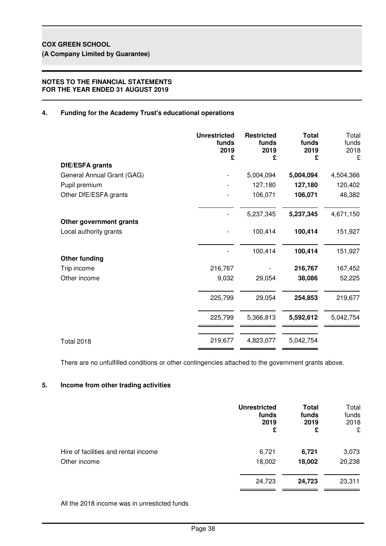## **NOTES TO THE FINANCIAL STATEMENTS FOR THE YEAR ENDED 31 AUGUST 2019**

## **4. Funding for the Academy Trust's educational operations**

|                            | <b>Unrestricted</b><br>funds<br>2019<br>£ | <b>Restricted</b><br>funds<br>2019<br>£ | <b>Total</b><br>funds<br>2019<br>£ | Total<br>funds<br>2018<br>£ |
|----------------------------|-------------------------------------------|-----------------------------------------|------------------------------------|-----------------------------|
| DfE/ESFA grants            |                                           |                                         |                                    |                             |
| General Annual Grant (GAG) |                                           | 5,004,094                               | 5,004,094                          | 4,504,366                   |
| Pupil premium              |                                           | 127,180                                 | 127,180                            | 120,402                     |
| Other DfE/ESFA grants      |                                           | 106,071                                 | 106,071                            | 46,382                      |
| Other government grants    |                                           | 5,237,345                               | 5,237,345                          | 4,671,150                   |
| Local authority grants     |                                           | 100,414                                 | 100,414                            | 151,927                     |
| <b>Other funding</b>       |                                           | 100,414                                 | 100,414                            | 151,927                     |
| Trip income                | 216,767                                   |                                         | 216,767                            | 167,452                     |
| Other income               | 9,032                                     | 29,054                                  | 38,086                             | 52,225                      |
|                            | 225,799                                   | 29,054                                  | 254,853                            | 219,677                     |
|                            | 225,799                                   | 5,366,813                               | 5,592,612                          | 5,042,754                   |
| <b>Total 2018</b>          | 219,677                                   | 4,823,077                               | 5,042,754                          |                             |

There are no unfulfilled conditions or other contingencies attached to the government grants above.

## **5. Income from other trading activities**

|                                      | <b>Unrestricted</b><br>funds<br>2019<br>£ | <b>Total</b><br>funds<br>2019<br>£ | Total<br>funds<br>2018<br>£ |
|--------------------------------------|-------------------------------------------|------------------------------------|-----------------------------|
| Hire of facilities and rental income | 6,721                                     | 6,721                              | 3,073                       |
| Other income                         | 18,002                                    | 18,002                             | 20,238                      |
|                                      | 24,723                                    | 24,723                             | 23,311                      |

All the 2018 income was in unresticted funds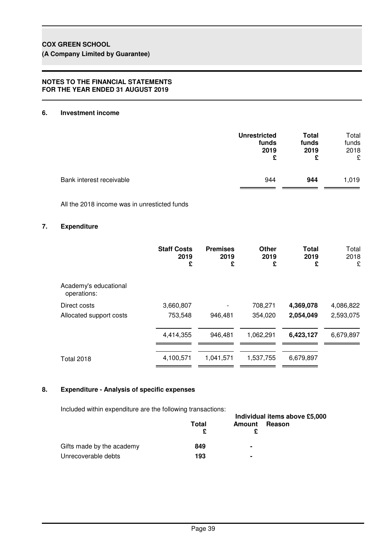## **NOTES TO THE FINANCIAL STATEMENTS FOR THE YEAR ENDED 31 AUGUST 2019**

## **6. Investment income**

|                          | <b>Unrestricted</b> | <b>Total</b> | Total |
|--------------------------|---------------------|--------------|-------|
|                          | funds               | funds        | funds |
|                          | 2019                | 2019         | 2018  |
|                          | £                   | £            | £     |
| Bank interest receivable | 944                 | 944          | 1,019 |

All the 2018 income was in unresticted funds

## **7. Expenditure**

|                                      | <b>Staff Costs</b><br>2019<br>£ | <b>Premises</b><br>2019<br>£ | Other<br>2019<br>£ | <b>Total</b><br>2019<br>£ | Total<br>2018<br>£ |
|--------------------------------------|---------------------------------|------------------------------|--------------------|---------------------------|--------------------|
| Academy's educational<br>operations: |                                 |                              |                    |                           |                    |
| Direct costs                         | 3,660,807                       |                              | 708,271            | 4,369,078                 | 4,086,822          |
| Allocated support costs              | 753,548                         | 946,481                      | 354,020            | 2,054,049                 | 2,593,075          |
|                                      | 4,414,355                       | 946,481                      | 1,062,291          | 6,423,127                 | 6,679,897          |
| <b>Total 2018</b>                    | 4,100,571                       | 1,041,571                    | 1,537,755          | 6,679,897                 |                    |

## **8. Expenditure - Analysis of specific expenses**

Included within expenditure are the following transactions:

|                           | Individual items above £5,000 |               |        |  |  |
|---------------------------|-------------------------------|---------------|--------|--|--|
|                           | Total                         | <b>Amount</b> | Reason |  |  |
|                           |                               |               |        |  |  |
| Gifts made by the academy | 849                           | ۰             |        |  |  |
| Unrecoverable debts       | 193                           |               |        |  |  |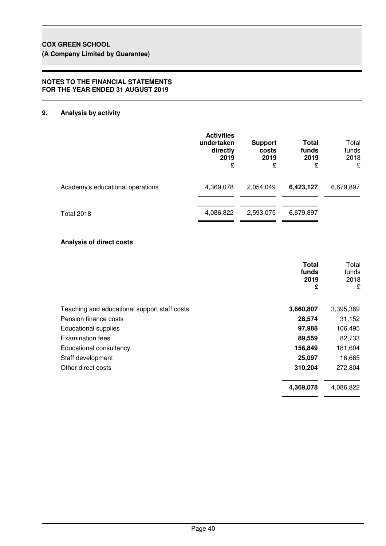## **NOTES TO THE FINANCIAL STATEMENTS FOR THE YEAR ENDED 31 AUGUST 2019**

# **9. Analysis by activity**

|                                  | <b>Activities</b><br>undertaken<br>directly<br>2019<br>£ | <b>Support</b><br>costs<br>2019<br>£ | Total<br>funds<br>2019<br>£ | Total<br>funds<br>2018<br>£ |
|----------------------------------|----------------------------------------------------------|--------------------------------------|-----------------------------|-----------------------------|
| Academy's educational operations | 4,369,078                                                | 2,054,049                            | 6,423,127                   | 6,679,897                   |
| <b>Total 2018</b>                | 4,086,822                                                | 2,593,075                            | 6,679,897                   |                             |

## **Analysis of direct costs**

|                                              | <b>Total</b><br>funds<br>2019<br>£ | Total<br>funds<br>2018<br>£ |
|----------------------------------------------|------------------------------------|-----------------------------|
| Teaching and educational support staff costs | 3,660,807                          | 3,395,369                   |
| Pension finance costs                        | 28,574                             | 31,152                      |
| <b>Educational supplies</b>                  | 97,988                             | 106,495                     |
| Examination fees                             | 89,559                             | 82,733                      |
| Educational consultancy                      | 156,849                            | 181,604                     |
| Staff development                            | 25,097                             | 16,665                      |
| Other direct costs                           | 310,204                            | 272,804                     |
|                                              | 4,369,078                          | 4,086,822                   |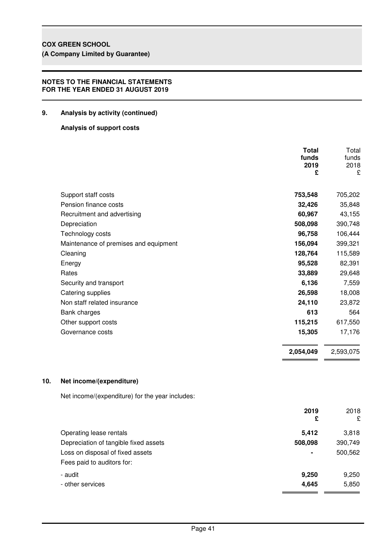# **COX GREEN SCHOOL**

**(A Company Limited by Guarantee)**

## **NOTES TO THE FINANCIAL STATEMENTS FOR THE YEAR ENDED 31 AUGUST 2019**

## **9. Analysis by activity (continued)**

## **Analysis of support costs**

|                                       | <b>Total</b><br>funds<br>2019<br>£ | Total<br>funds<br>2018<br>£ |
|---------------------------------------|------------------------------------|-----------------------------|
| Support staff costs                   | 753,548                            | 705,202                     |
| Pension finance costs                 | 32,426                             | 35,848                      |
| Recruitment and advertising           | 60,967                             | 43,155                      |
| Depreciation                          | 508,098                            | 390,748                     |
| Technology costs                      | 96,758                             | 106,444                     |
| Maintenance of premises and equipment | 156,094                            | 399,321                     |
| Cleaning                              | 128,764                            | 115,589                     |
| Energy                                | 95,528                             | 82,391                      |
| Rates                                 | 33,889                             | 29,648                      |
| Security and transport                | 6,136                              | 7,559                       |
| Catering supplies                     | 26,598                             | 18,008                      |
| Non staff related insurance           | 24,110                             | 23,872                      |
| Bank charges                          | 613                                | 564                         |
| Other support costs                   | 115,215                            | 617,550                     |
| Governance costs                      | 15,305                             | 17,176                      |
|                                       | 2,054,049                          | 2,593,075                   |
|                                       |                                    |                             |

## **10. Net income/(expenditure)**

Net income/(expenditure) for the year includes:

|                                       | 2019<br>£      | 2018<br>£ |
|---------------------------------------|----------------|-----------|
| Operating lease rentals               | 5,412          | 3,818     |
| Depreciation of tangible fixed assets | 508,098        | 390,749   |
| Loss on disposal of fixed assets      | $\blacksquare$ | 500,562   |
| Fees paid to auditors for:            |                |           |
| - audit                               | 9,250          | 9,250     |
| - other services                      | 4,645          | 5,850     |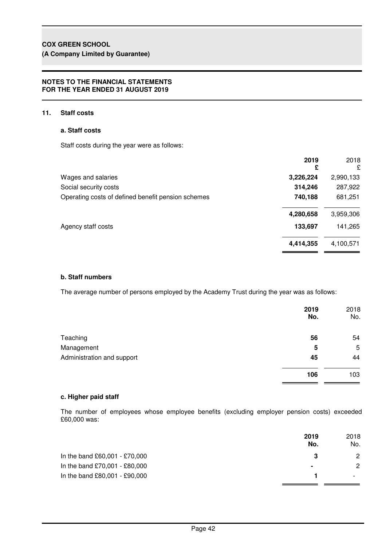# **COX GREEN SCHOOL**

**(A Company Limited by Guarantee)**

## **NOTES TO THE FINANCIAL STATEMENTS FOR THE YEAR ENDED 31 AUGUST 2019**

## **11. Staff costs**

## **a. Staff costs**

Staff costs during the year were as follows:

|                                                    | 2019<br>£ | 2018<br>£ |
|----------------------------------------------------|-----------|-----------|
| Wages and salaries                                 | 3,226,224 | 2,990,133 |
| Social security costs                              | 314,246   | 287,922   |
| Operating costs of defined benefit pension schemes | 740,188   | 681,251   |
|                                                    | 4,280,658 | 3,959,306 |
| Agency staff costs                                 | 133,697   | 141,265   |
|                                                    | 4,414,355 | 4,100,571 |

## **b. Staff numbers**

The average number of persons employed by the Academy Trust during the year was as follows:

|                            | 2019<br>No. | 2018<br>No. |
|----------------------------|-------------|-------------|
| Teaching                   | 56          | 54          |
| Management                 | 5           | 5           |
| Administration and support | 45          | 44          |
|                            | 106         | 103         |

## **c. Higher paid staff**

The number of employees whose employee benefits (excluding employer pension costs) exceeded £60,000 was:

|                               | 2019<br>No. | 2018<br>No. |
|-------------------------------|-------------|-------------|
| In the band £60,001 - £70,000 | 3           | 2           |
| In the band £70,001 - £80,000 | ٠           | 2           |
| In the band £80,001 - £90,000 |             |             |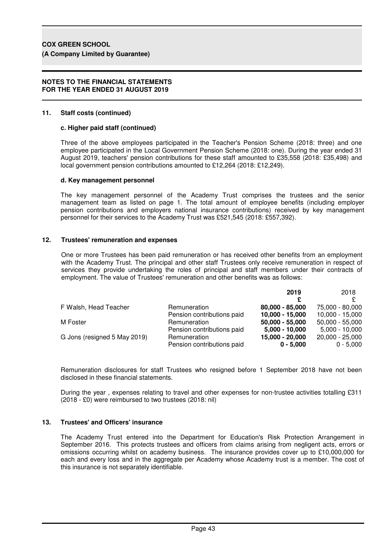#### **NOTES TO THE FINANCIAL STATEMENTS FOR THE YEAR ENDED 31 AUGUST 2019**

#### **11. Staff costs (continued)**

#### **c. Higher paid staff (continued)**

Three of the above employees participated in the Teacher's Pension Scheme (2018: three) and one employee participated in the Local Government Pension Scheme (2018: one). During the year ended 31 August 2019, teachers' pension contributions for these staff amounted to £35,558 (2018: £35,498) and local government pension contributions amounted to £12,264 (2018: £12,249).

#### **d. Key management personnel**

The key management personnel of the Academy Trust comprises the trustees and the senior management team as listed on page 1. The total amount of employee benefits (including employer pension contributions and employers national insurance contributions) received by key management personnel for their services to the Academy Trust was £521,545 (2018: £557,392).

#### **12. Trustees' remuneration and expenses**

One or more Trustees has been paid remuneration or has received other benefits from an employment with the Academy Trust. The principal and other staff Trustees only receive remuneration in respect of services they provide undertaking the roles of principal and staff members under their contracts of employment. The value of Trustees' remuneration and other benefits was as follows:

|                              |                            | 2019              | 2018              |
|------------------------------|----------------------------|-------------------|-------------------|
|                              |                            |                   |                   |
| F Walsh, Head Teacher        | Remuneration               | 80,000 - 85,000   | 75,000 - 80,000   |
|                              | Pension contributions paid | $10,000 - 15,000$ | $10,000 - 15,000$ |
| M Foster                     | Remuneration               | $50,000 - 55,000$ | $50,000 - 55,000$ |
|                              | Pension contributions paid | $5,000 - 10,000$  | $5,000 - 10,000$  |
| G Jons (resigned 5 May 2019) | Remuneration               | 15,000 - 20,000   | $20,000 - 25,000$ |
|                              | Pension contributions paid | $0 - 5,000$       | $0 - 5.000$       |

Remuneration disclosures for staff Trustees who resigned before 1 September 2018 have not been disclosed in these financial statements.

During the year , expenses relating to travel and other expenses for non-trustee activities totalling £311 (2018 - £0) were reimbursed to two trustees (2018: nil)

## **13. Trustees' and Officers' insurance**

The Academy Trust entered into the Department for Education's Risk Protection Arrangement in September 2016. This protects trustees and officers from claims arising from negligent acts, errors or omissions occurring whilst on academy business. The insurance provides cover up to £10,000,000 for each and every loss and in the aggregate per Academy whose Academy trust is a member. The cost of this insurance is not separately identifiable.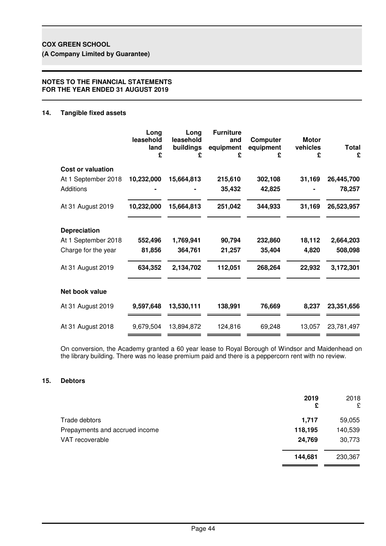## **NOTES TO THE FINANCIAL STATEMENTS FOR THE YEAR ENDED 31 AUGUST 2019**

## **14. Tangible fixed assets**

|                          | Long<br>leasehold<br>land<br>£ | Long<br>leasehold<br>buildings<br>£ | <b>Furniture</b><br>and<br>equipment<br>£ | <b>Computer</b><br>equipment<br>£ | <b>Motor</b><br>vehicles<br>£ | <b>Total</b><br>£ |
|--------------------------|--------------------------------|-------------------------------------|-------------------------------------------|-----------------------------------|-------------------------------|-------------------|
| <b>Cost or valuation</b> |                                |                                     |                                           |                                   |                               |                   |
| At 1 September 2018      | 10,232,000                     | 15,664,813                          | 215,610                                   | 302,108                           | 31,169                        | 26,445,700        |
| <b>Additions</b>         |                                |                                     | 35,432                                    | 42,825                            |                               | 78,257            |
| At 31 August 2019        | 10,232,000                     | 15,664,813                          | 251,042                                   | 344,933                           | 31,169                        | 26,523,957        |
| <b>Depreciation</b>      |                                |                                     |                                           |                                   |                               |                   |
| At 1 September 2018      | 552,496                        | 1,769,941                           | 90,794                                    | 232,860                           | 18,112                        | 2,664,203         |
| Charge for the year      | 81,856                         | 364,761                             | 21,257                                    | 35,404                            | 4,820                         | 508,098           |
| At 31 August 2019        | 634,352                        | 2,134,702                           | 112,051                                   | 268,264                           | 22,932                        | 3,172,301         |
| Net book value           |                                |                                     |                                           |                                   |                               |                   |
| At 31 August 2019        | 9,597,648                      | 13,530,111                          | 138,991                                   | 76,669                            | 8,237                         | 23,351,656        |
| At 31 August 2018        | 9,679,504                      | 13,894,872                          | 124,816                                   | 69,248                            | 13,057                        | 23,781,497        |

On conversion, the Academy granted a 60 year lease to Royal Borough of Windsor and Maidenhead on the library building. There was no lease premium paid and there is a peppercorn rent with no review.

## **15. Debtors**

|                                | 2019<br>£ | 2018<br>£ |
|--------------------------------|-----------|-----------|
| Trade debtors                  | 1,717     | 59,055    |
| Prepayments and accrued income | 118,195   | 140,539   |
| VAT recoverable                | 24,769    | 30,773    |
|                                | 144,681   | 230,367   |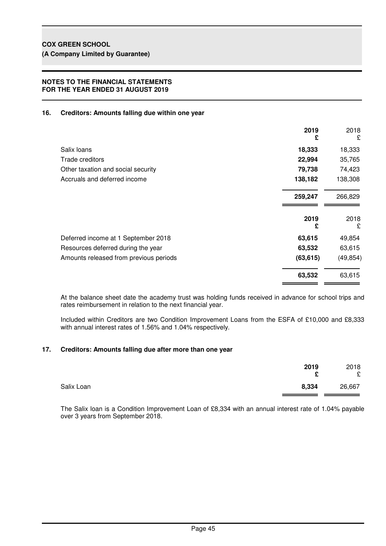## **NOTES TO THE FINANCIAL STATEMENTS FOR THE YEAR ENDED 31 AUGUST 2019**

## **16. Creditors: Amounts falling due within one year**

|                                        | 2019<br>£ | 2018<br>£ |
|----------------------------------------|-----------|-----------|
| Salix loans                            | 18,333    | 18,333    |
| Trade creditors                        | 22,994    | 35,765    |
| Other taxation and social security     | 79,738    | 74,423    |
| Accruals and deferred income           | 138,182   | 138,308   |
|                                        | 259,247   | 266,829   |
|                                        | 2019<br>£ | 2018<br>£ |
| Deferred income at 1 September 2018    | 63,615    | 49,854    |
| Resources deferred during the year     | 63,532    | 63,615    |
| Amounts released from previous periods | (63, 615) | (49, 854) |
|                                        | 63,532    | 63,615    |

At the balance sheet date the academy trust was holding funds received in advance for school trips and rates reimbursement in relation to the next financial year.

Included within Creditors are two Condition Improvement Loans from the ESFA of £10,000 and £8,333 with annual interest rates of 1.56% and 1.04% respectively.

## **17. Creditors: Amounts falling due after more than one year**

|            | 2019<br>c | 2018<br>£ |
|------------|-----------|-----------|
| Salix Loan | 8,334     | 26,667    |

The Salix loan is a Condition Improvement Loan of £8,334 with an annual interest rate of 1.04% payable over 3 years from September 2018.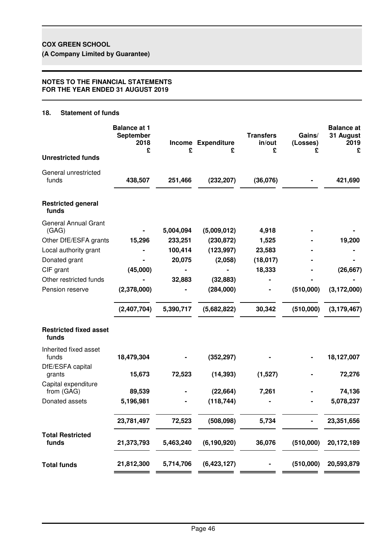## **NOTES TO THE FINANCIAL STATEMENTS FOR THE YEAR ENDED 31 AUGUST 2019**

## **18. Statement of funds**

|                                                | <b>Balance at 1</b><br>September<br>2018<br>£ | £                 | Income Expenditure<br>£ | <b>Transfers</b><br>in/out<br>£ | Gains/<br>(Losses)<br>£ | <b>Balance</b> at<br>31 August<br>2019<br>£ |
|------------------------------------------------|-----------------------------------------------|-------------------|-------------------------|---------------------------------|-------------------------|---------------------------------------------|
| <b>Unrestricted funds</b>                      |                                               |                   |                         |                                 |                         |                                             |
| General unrestricted<br>funds                  | 438,507                                       | 251,466           | (232, 207)              | (36,076)                        |                         | 421,690                                     |
| <b>Restricted general</b><br>funds             |                                               |                   |                         |                                 |                         |                                             |
| <b>General Annual Grant</b>                    |                                               |                   |                         |                                 |                         |                                             |
| (GAG)                                          |                                               | 5,004,094         | (5,009,012)             | 4,918                           |                         |                                             |
| Other DfE/ESFA grants<br>Local authority grant | 15,296                                        | 233,251           | (230, 872)              | 1,525<br>23,583                 |                         | 19,200                                      |
| Donated grant                                  |                                               | 100,414<br>20,075 | (123, 997)<br>(2,058)   | (18, 017)                       |                         |                                             |
| CIF grant                                      | (45,000)                                      |                   |                         | 18,333                          |                         | (26, 667)                                   |
| Other restricted funds                         |                                               | 32,883            | (32, 883)               |                                 |                         |                                             |
| Pension reserve                                | (2,378,000)                                   |                   | (284,000)               |                                 | (510,000)               | (3, 172, 000)                               |
|                                                | (2,407,704)                                   | 5,390,717         | (5,682,822)             | 30,342                          | (510,000)               | (3, 179, 467)                               |
| <b>Restricted fixed asset</b><br>funds         |                                               |                   |                         |                                 |                         |                                             |
| Inherited fixed asset<br>funds                 | 18,479,304                                    |                   | (352, 297)              |                                 |                         | 18,127,007                                  |
| DfE/ESFA capital<br>grants                     | 15,673                                        | 72,523            | (14, 393)               | (1,527)                         |                         | 72,276                                      |
| Capital expenditure<br>from (GAG)              | 89,539                                        |                   | (22, 664)               | 7,261                           |                         | 74,136                                      |
| Donated assets                                 | 5,196,981                                     |                   | (118, 744)              |                                 |                         | 5,078,237                                   |
|                                                | 23,781,497                                    | 72,523            | (508,098)               | 5,734                           |                         | 23,351,656                                  |
| <b>Total Restricted</b><br>funds               | 21,373,793                                    | 5,463,240         | (6, 190, 920)           | 36,076                          | (510,000)               | 20,172,189                                  |
| <b>Total funds</b>                             | 21,812,300                                    | 5,714,706         | (6,423,127)             |                                 | (510,000)               | 20,593,879                                  |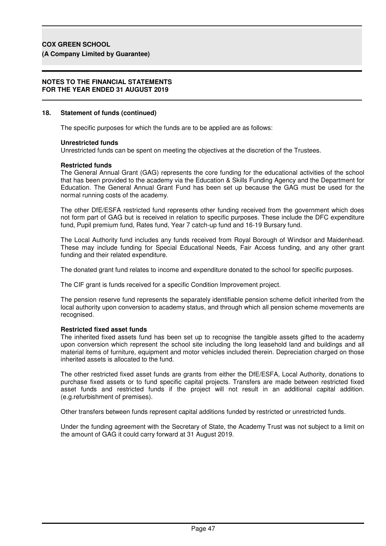#### **NOTES TO THE FINANCIAL STATEMENTS FOR THE YEAR ENDED 31 AUGUST 2019**

#### **18. Statement of funds (continued)**

The specific purposes for which the funds are to be applied are as follows:

#### **Unrestricted funds**

Unrestricted funds can be spent on meeting the objectives at the discretion of the Trustees.

#### **Restricted funds**

The General Annual Grant (GAG) represents the core funding for the educational activities of the school that has been provided to the academy via the Education & Skills Funding Agency and the Department for Education. The General Annual Grant Fund has been set up because the GAG must be used for the normal running costs of the academy.

The other DfE/ESFA restricted fund represents other funding received from the government which does not form part of GAG but is received in relation to specific purposes. These include the DFC expenditure fund, Pupil premium fund, Rates fund, Year 7 catch-up fund and 16-19 Bursary fund.

The Local Authority fund includes any funds received from Royal Borough of Windsor and Maidenhead. These may include funding for Special Educational Needs, Fair Access funding, and any other grant funding and their related expenditure.

The donated grant fund relates to income and expenditure donated to the school for specific purposes.

The CIF grant is funds received for a specific Condition Improvement project.

The pension reserve fund represents the separately identifiable pension scheme deficit inherited from the local authority upon conversion to academy status, and through which all pension scheme movements are recognised.

#### **Restricted fixed asset funds**

The inherited fixed assets fund has been set up to recognise the tangible assets gifted to the academy upon conversion which represent the school site including the long leasehold land and buildings and all material items of furniture, equipment and motor vehicles included therein. Depreciation charged on those inherited assets is allocated to the fund.

The other restricted fixed asset funds are grants from either the DfE/ESFA, Local Authority, donations to purchase fixed assets or to fund specific capital projects. Transfers are made between restricted fixed asset funds and restricted funds if the project will not result in an additional capital addition. (e.g.refurbishment of premises).

Other transfers between funds represent capital additions funded by restricted or unrestricted funds.

Under the funding agreement with the Secretary of State, the Academy Trust was not subject to a limit on the amount of GAG it could carry forward at 31 August 2019.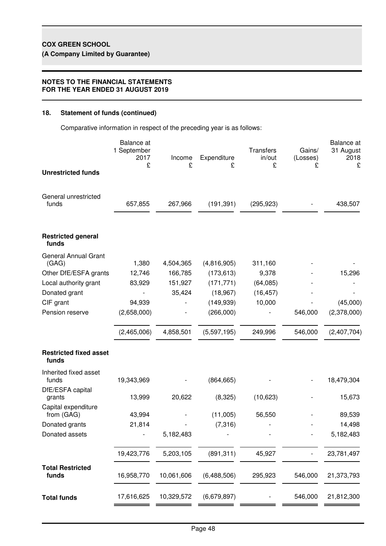## **NOTES TO THE FINANCIAL STATEMENTS FOR THE YEAR ENDED 31 AUGUST 2019**

## **18. Statement of funds (continued)**

Comparative information in respect of the preceding year is as follows:

|                                        | Balance at<br>1 September<br>2017<br>£ | Income<br>£ | Expenditure<br>£ | Transfers<br>in/out<br>£ | Gains/<br>(Losses)<br>£ | <b>Balance</b> at<br>31 August<br>2018<br>£ |
|----------------------------------------|----------------------------------------|-------------|------------------|--------------------------|-------------------------|---------------------------------------------|
| <b>Unrestricted funds</b>              |                                        |             |                  |                          |                         |                                             |
| General unrestricted<br>funds          | 657,855                                | 267,966     | (191, 391)       | (295, 923)               |                         | 438,507                                     |
| <b>Restricted general</b><br>funds     |                                        |             |                  |                          |                         |                                             |
| <b>General Annual Grant</b><br>(GAG)   | 1,380                                  | 4,504,365   | (4,816,905)      | 311,160                  |                         |                                             |
| Other DfE/ESFA grants                  | 12,746                                 | 166,785     | (173, 613)       | 9,378                    |                         | 15,296                                      |
| Local authority grant                  | 83,929                                 | 151,927     | (171, 771)       | (64,085)                 |                         |                                             |
| Donated grant                          |                                        | 35,424      | (18, 967)        | (16, 457)                |                         |                                             |
| CIF grant                              | 94,939                                 |             | (149, 939)       | 10,000                   |                         | (45,000)                                    |
| Pension reserve                        | (2,658,000)                            |             | (266,000)        |                          | 546,000                 | (2,378,000)                                 |
|                                        | (2,465,006)                            | 4,858,501   | (5,597,195)      | 249,996                  | 546,000                 | (2,407,704)                                 |
| <b>Restricted fixed asset</b><br>funds |                                        |             |                  |                          |                         |                                             |
| Inherited fixed asset<br>funds         | 19,343,969                             |             | (864, 665)       |                          |                         | 18,479,304                                  |
| DfE/ESFA capital                       |                                        |             |                  |                          |                         |                                             |
| grants                                 | 13,999                                 | 20,622      | (8,325)          | (10,623)                 |                         | 15,673                                      |
| Capital expenditure<br>from (GAG)      | 43,994                                 |             | (11,005)         | 56,550                   |                         | 89,539                                      |
| Donated grants                         | 21,814                                 |             | (7, 316)         |                          |                         | 14,498                                      |
| Donated assets                         |                                        | 5,182,483   |                  |                          |                         | 5,182,483                                   |
|                                        | 19,423,776                             | 5,203,105   | (891, 311)       | 45,927                   |                         | 23,781,497                                  |
| <b>Total Restricted</b><br>funds       | 16,958,770                             | 10,061,606  | (6,488,506)      | 295,923                  | 546,000                 | 21,373,793                                  |
| <b>Total funds</b>                     | 17,616,625                             | 10,329,572  | (6,679,897)      |                          | 546,000                 | 21,812,300                                  |
|                                        |                                        |             |                  |                          |                         |                                             |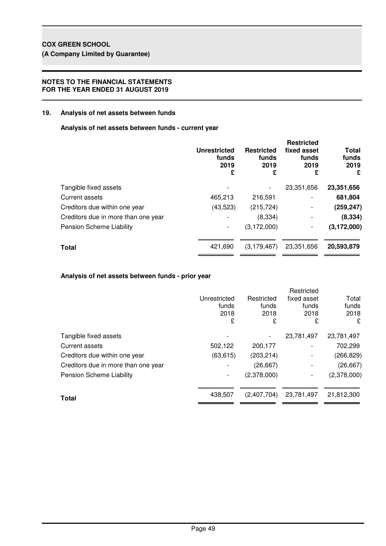## **NOTES TO THE FINANCIAL STATEMENTS FOR THE YEAR ENDED 31 AUGUST 2019**

## **19. Analysis of net assets between funds**

**Analysis of net assets between funds - current year**

|                                     | <b>Unrestricted</b><br>funds<br>2019<br>£ | <b>Restricted</b><br>funds<br>2019<br>£ | <b>Restricted</b><br>fixed asset<br>funds<br>2019<br>£ | <b>Total</b><br>funds<br>2019<br>£ |
|-------------------------------------|-------------------------------------------|-----------------------------------------|--------------------------------------------------------|------------------------------------|
| Tangible fixed assets               |                                           |                                         | 23,351,656                                             | 23,351,656                         |
| Current assets                      | 465,213                                   | 216,591                                 | -                                                      | 681,804                            |
| Creditors due within one year       | (43, 523)                                 | (215, 724)                              | -                                                      | (259, 247)                         |
| Creditors due in more than one year |                                           | (8,334)                                 |                                                        | (8, 334)                           |
| Pension Scheme Liability            |                                           | (3, 172, 000)                           |                                                        | (3, 172, 000)                      |
| <b>Total</b>                        | 421,690                                   | (3, 179, 467)                           | 23,351,656                                             | 20,593,879                         |
|                                     |                                           |                                         |                                                        |                                    |

## **Analysis of net assets between funds - prior year**

|                                     |              |             | Restricted  |             |
|-------------------------------------|--------------|-------------|-------------|-------------|
|                                     | Unrestricted | Restricted  | fixed asset | Total       |
|                                     | funds        | funds       | funds       | funds       |
|                                     | 2018         | 2018        | 2018        | 2018        |
|                                     | £            | £           | £           | £           |
| Tangible fixed assets               |              |             | 23,781,497  | 23,781,497  |
| Current assets                      | 502,122      | 200,177     |             | 702,299     |
| Creditors due within one year       | (63, 615)    | (203, 214)  |             | (266, 829)  |
| Creditors due in more than one year |              | (26, 667)   |             | (26, 667)   |
| <b>Pension Scheme Liability</b>     |              | (2,378,000) |             | (2,378,000) |
| <b>Total</b>                        | 438,507      | (2,407,704) | 23,781,497  | 21,812,300  |
|                                     |              |             |             |             |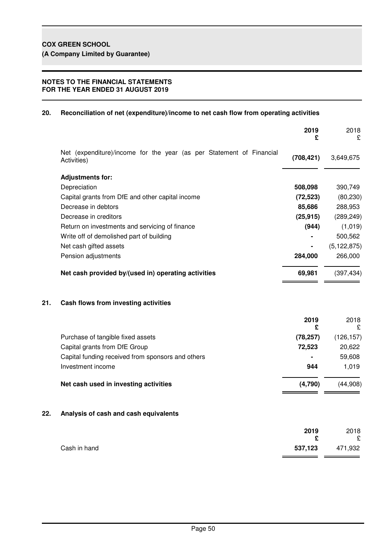## **NOTES TO THE FINANCIAL STATEMENTS FOR THE YEAR ENDED 31 AUGUST 2019**

## **20. Reconciliation of net (expenditure)/income to net cash flow from operating activities**

|     |                                                                                     | 2019<br>£  | 2018<br>£     |
|-----|-------------------------------------------------------------------------------------|------------|---------------|
|     | Net (expenditure)/income for the year (as per Statement of Financial<br>Activities) | (708, 421) | 3,649,675     |
|     | <b>Adjustments for:</b>                                                             |            |               |
|     | Depreciation                                                                        | 508,098    | 390,749       |
|     | Capital grants from DfE and other capital income                                    | (72, 523)  | (80, 230)     |
|     | Decrease in debtors                                                                 | 85,686     | 288,953       |
|     | Decrease in creditors                                                               | (25, 915)  | (289, 249)    |
|     | Return on investments and servicing of finance                                      | (944)      | (1,019)       |
|     | Write off of demolished part of building                                            |            | 500,562       |
|     | Net cash gifted assets                                                              |            | (5, 122, 875) |
|     | Pension adjustments                                                                 | 284,000    | 266,000       |
|     | Net cash provided by/(used in) operating activities                                 | 69,981     | (397, 434)    |
| 21. | Cash flows from investing activities                                                |            |               |
|     |                                                                                     | 2019<br>£  | 2018<br>£     |
|     | Purchase of tangible fixed assets                                                   | (78, 257)  | (126, 157)    |
|     | Capital grants from DfE Group                                                       | 72,523     | 20,622        |
|     | Capital funding received from sponsors and others                                   |            | 59,608        |
|     | Investment income                                                                   | 944        | 1,019         |
|     | Net cash used in investing activities                                               | (4,790)    | (44,908)      |
| 22. | Analysis of cash and cash equivalents                                               |            |               |
|     |                                                                                     | 2019       | 2018          |
|     |                                                                                     | £          | £             |
|     | Cash in hand                                                                        | 537,123    | 471,932       |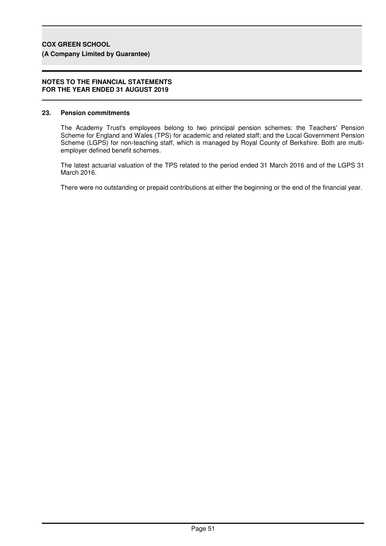#### **NOTES TO THE FINANCIAL STATEMENTS FOR THE YEAR ENDED 31 AUGUST 2019**

#### **23. Pension commitments**

The Academy Trust's employees belong to two principal pension schemes: the Teachers' Pension Scheme for England and Wales (TPS) for academic and related staff; and the Local Government Pension Scheme (LGPS) for non-teaching staff, which is managed by Royal County of Berkshire. Both are multiemployer defined benefit schemes.

The latest actuarial valuation of the TPS related to the period ended 31 March 2016 and of the LGPS 31 March 2016.

There were no outstanding or prepaid contributions at either the beginning or the end of the financial year.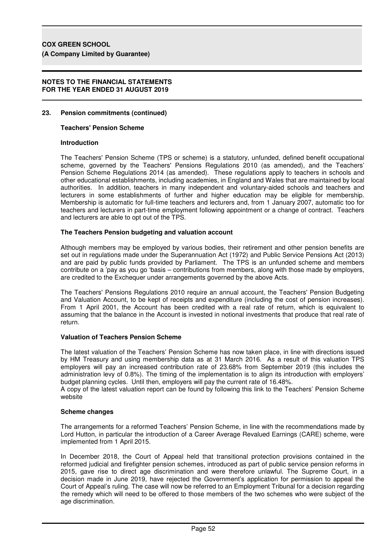### **NOTES TO THE FINANCIAL STATEMENTS FOR THE YEAR ENDED 31 AUGUST 2019**

## **23. Pension commitments (continued)**

#### **Teachers' Pension Scheme**

#### **Introduction**

The Teachers' Pension Scheme (TPS or scheme) is a statutory, unfunded, defined benefit occupational scheme, governed by the Teachers' Pensions Regulations 2010 (as amended), and the Teachers' Pension Scheme Regulations 2014 (as amended). These regulations apply to teachers in schools and other educational establishments, including academies, in England and Wales that are maintained by local authorities. In addition, teachers in many independent and voluntary-aided schools and teachers and lecturers in some establishments of further and higher education may be eligible for membership. Membership is automatic for full-time teachers and lecturers and, from 1 January 2007, automatic too for teachers and lecturers in part-time employment following appointment or a change of contract. Teachers and lecturers are able to opt out of the TPS.

#### **The Teachers Pension budgeting and valuation account**

Although members may be employed by various bodies, their retirement and other pension benefits are set out in regulations made under the Superannuation Act (1972) and Public Service Pensions Act (2013) and are paid by public funds provided by Parliament. The TPS is an unfunded scheme and members contribute on a 'pay as you go 'basis – contributions from members, along with those made by employers, are credited to the Exchequer under arrangements governed by the above Acts.

The Teachers' Pensions Regulations 2010 require an annual account, the Teachers' Pension Budgeting and Valuation Account, to be kept of receipts and expenditure (including the cost of pension increases). From 1 April 2001, the Account has been credited with a real rate of return, which is equivalent to assuming that the balance in the Account is invested in notional investments that produce that real rate of return.

#### **Valuation of Teachers Pension Scheme**

The latest valuation of the Teachers' Pension Scheme has now taken place, in line with directions issued by HM Treasury and using membership data as at 31 March 2016. As a result of this valuation TPS employers will pay an increased contribution rate of 23.68% from September 2019 (this includes the administration levy of 0.8%). The timing of the implementation is to align its introduction with employers' budget planning cycles. Until then, employers will pay the current rate of 16.48%.

A copy of the latest valuation report can be found by following this link to the Teachers' Pension Scheme website

### **Scheme changes**

The arrangements for a reformed Teachers' Pension Scheme, in line with the recommendations made by Lord Hutton, in particular the introduction of a Career Average Revalued Earnings (CARE) scheme, were implemented from 1 April 2015.

In December 2018, the Court of Appeal held that transitional protection provisions contained in the reformed judicial and firefighter pension schemes, introduced as part of public service pension reforms in 2015, gave rise to direct age discrimination and were therefore unlawful. The Supreme Court, in a decision made in June 2019, have rejected the Government's application for permission to appeal the Court of Appeal's ruling. The case will now be referred to an Employment Tribunal for a decision regarding the remedy which will need to be offered to those members of the two schemes who were subject of the age discrimination.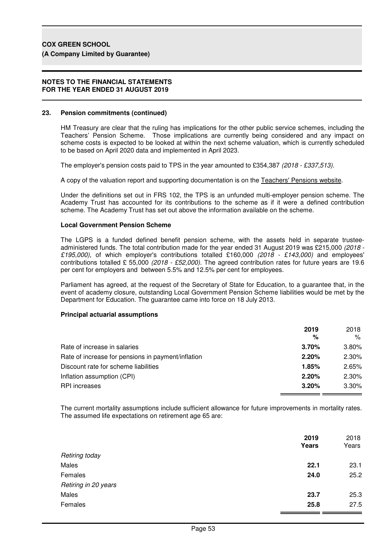#### **NOTES TO THE FINANCIAL STATEMENTS FOR THE YEAR ENDED 31 AUGUST 2019**

## **23. Pension commitments (continued)**

HM Treasury are clear that the ruling has implications for the other public service schemes, including the Teachers' Pension Scheme. Those implications are currently being considered and any impact on scheme costs is expected to be looked at within the next scheme valuation, which is currently scheduled to be based on April 2020 data and implemented in April 2023.

The employer's pension costs paid to TPS in the year amounted to £354,387 (2018 - £337,513).

A copy of the valuation report and supporting documentation is on the Teachers' Pensions website.

Under the definitions set out in FRS 102, the TPS is an unfunded multi-employer pension scheme. The Academy Trust has accounted for its contributions to the scheme as if it were a defined contribution scheme. The Academy Trust has set out above the information available on the scheme.

## **Local Government Pension Scheme**

The LGPS is a funded defined benefit pension scheme, with the assets held in separate trusteeadministered funds. The total contribution made for the year ended 31 August 2019 was £215,000 (2018 - £195,000), of which employer's contributions totalled £160,000 (2018 - £143,000) and employees' contributions totalled £ 55,000 (2018 - £52,000). The agreed contribution rates for future years are 19.6 per cent for employers and between 5.5% and 12.5% per cent for employees.

Parliament has agreed, at the request of the Secretary of State for Education, to a guarantee that, in the event of academy closure, outstanding Local Government Pension Scheme liabilities would be met by the Department for Education. The guarantee came into force on 18 July 2013.

## **Principal actuarial assumptions**

|                                                    | 2019<br>% | 2018<br>% |
|----------------------------------------------------|-----------|-----------|
| Rate of increase in salaries                       | 3.70%     | $3.80\%$  |
| Rate of increase for pensions in payment/inflation | 2.20%     | 2.30%     |
| Discount rate for scheme liabilities               | 1.85%     | 2.65%     |
| Inflation assumption (CPI)                         | 2.20%     | 2.30%     |
| <b>RPI</b> increases                               | 3.20%     | 3.30%     |

The current mortality assumptions include sufficient allowance for future improvements in mortality rates. The assumed life expectations on retirement age 65 are:

|                      | 2019<br>Years | 2018<br>Years |
|----------------------|---------------|---------------|
| Retiring today       |               |               |
| Males                | 22.1          | 23.1          |
| Females              | 24.0          | 25.2          |
| Retiring in 20 years |               |               |
| Males                | 23.7          | 25.3          |
| Females              | 25.8          | 27.5          |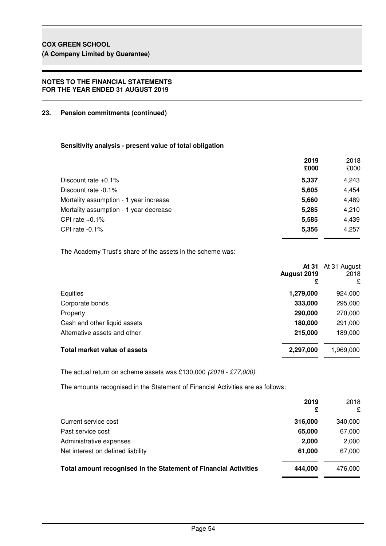## **NOTES TO THE FINANCIAL STATEMENTS FOR THE YEAR ENDED 31 AUGUST 2019**

## **23. Pension commitments (continued)**

## **Sensitivity analysis - present value of total obligation**

|                                        | 2019<br>£000 | 2018<br>£000 |
|----------------------------------------|--------------|--------------|
| Discount rate $+0.1\%$                 | 5.337        | 4,243        |
| Discount rate -0.1%                    | 5,605        | 4,454        |
| Mortality assumption - 1 year increase | 5,660        | 4,489        |
| Mortality assumption - 1 year decrease | 5.285        | 4,210        |
| CPI rate $+0.1\%$                      | 5,585        | 4,439        |
| CPI rate $-0.1\%$                      | 5,356        | 4,257        |
|                                        |              |              |

The Academy Trust's share of the assets in the scheme was:

| £         | At 31 At 31 August<br>2018<br>£ |
|-----------|---------------------------------|
| 1,279,000 | 924,000                         |
| 333,000   | 295,000                         |
| 290,000   | 270,000                         |
| 180,000   | 291,000                         |
| 215,000   | 189,000                         |
| 2,297,000 | 1,969,000                       |
|           | August 2019                     |

The actual return on scheme assets was £130,000 (2018 - £77,000).

The amounts recognised in the Statement of Financial Activities are as follows:

|                                                                  | 2019<br>£ | 2018<br>£ |
|------------------------------------------------------------------|-----------|-----------|
| Current service cost                                             | 316,000   | 340,000   |
| Past service cost                                                | 65,000    | 67,000    |
| Administrative expenses                                          | 2,000     | 2,000     |
| Net interest on defined liability                                | 61.000    | 67,000    |
| Total amount recognised in the Statement of Financial Activities | 444.000   | 476.000   |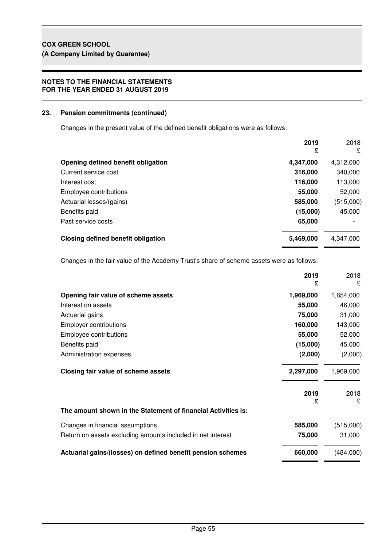## **NOTES TO THE FINANCIAL STATEMENTS FOR THE YEAR ENDED 31 AUGUST 2019**

## **23. Pension commitments (continued)**

Changes in the present value of the defined benefit obligations were as follows:

|                                    | 2019<br>£ | 2018<br>£ |
|------------------------------------|-----------|-----------|
| Opening defined benefit obligation | 4,347,000 | 4,312,000 |
| Current service cost               | 316,000   | 340,000   |
| Interest cost                      | 116,000   | 113,000   |
| Employee contributions             | 55,000    | 52,000    |
| Actuarial losses/(gains)           | 585,000   | (515,000) |
| Benefits paid                      | (15,000)  | 45,000    |
| Past service costs                 | 65,000    |           |
| Closing defined benefit obligation | 5,469,000 | 4,347,000 |

Changes in the fair value of the Academy Trust's share of scheme assets were as follows:

|                                                               | 2019<br>£ | 2018<br>£ |
|---------------------------------------------------------------|-----------|-----------|
| Opening fair value of scheme assets                           | 1,969,000 | 1,654,000 |
| Interest on assets                                            | 55,000    | 46,000    |
| Actuarial gains                                               | 75,000    | 31,000    |
| <b>Employer contributions</b>                                 | 160,000   | 143,000   |
| Employee contributions                                        | 55,000    | 52,000    |
| Benefits paid                                                 | (15,000)  | 45,000    |
| Administration expenses                                       | (2,000)   | (2,000)   |
| Closing fair value of scheme assets                           | 2,297,000 | 1,969,000 |
|                                                               | 2019<br>£ | 2018<br>£ |
| The amount shown in the Statement of financial Activities is: |           |           |
| Changes in financial assumptions                              | 585,000   | (515,000) |
| Return on assets excluding amounts included in net interest   | 75,000    | 31,000    |
| Actuarial gains/(losses) on defined benefit pension schemes   | 660,000   | (484,000) |